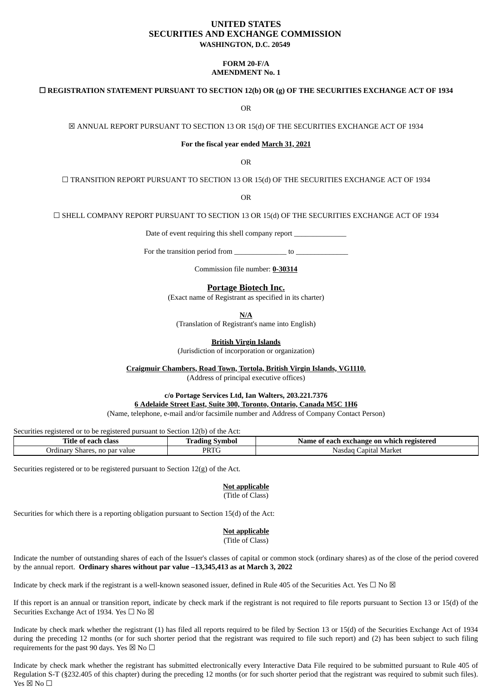# **UNITED STATES SECURITIES AND EXCHANGE COMMISSION**

**WASHINGTON, D.C. 20549**

### **FORM 20-F/A AMENDMENT No. 1**

### ☐ **REGISTRATION STATEMENT PURSUANT TO SECTION 12(b) OR (g) OF THE SECURITIES EXCHANGE ACT OF 1934**

OR

☒ ANNUAL REPORT PURSUANT TO SECTION 13 OR 15(d) OF THE SECURITIES EXCHANGE ACT OF 1934

### **For the fiscal year ended March 31, 2021**

OR

☐ TRANSITION REPORT PURSUANT TO SECTION 13 OR 15(d) OF THE SECURITIES EXCHANGE ACT OF 1934

OR

☐ SHELL COMPANY REPORT PURSUANT TO SECTION 13 OR 15(d) OF THE SECURITIES EXCHANGE ACT OF 1934

Date of event requiring this shell company report

For the transition period from  $\qquad \qquad$  to  $\qquad \qquad$ 

Commission file number: **0-30314**

### **Portage Biotech Inc.**

(Exact name of Registrant as specified in its charter)

**N/A**

(Translation of Registrant's name into English)

**British Virgin Islands**

(Jurisdiction of incorporation or organization)

**Craigmuir Chambers, Road Town, Tortola, British Virgin Islands, VG1110.**

(Address of principal executive offices)

**c/o Portage Services Ltd, Ian Walters, 203.221.7376 6 Adelaide Street East, Suite 300, Toronto, Ontario, Canada M5C 1H6**

(Name, telephone, e-mail and/or facsimile number and Address of Company Contact Person)

Securities registered or to be registered pursuant to Section 12(b) of the Act:

| ┳.<br>Fitle<br>class<br>$\mathbf{0}$                      | nbol                | exchange<br>registered ו<br>Name<br>01<br>. eac<br>-on<br>which |
|-----------------------------------------------------------|---------------------|-----------------------------------------------------------------|
| value<br>:dınarv<br>ohare:<br>ר par<br>$\mathbf{r}$<br>ШU | <b>DDTC</b><br>11TC | Marke'<br>ורור<br>lidi<br>٦d<br>י הו                            |

Securities registered or to be registered pursuant to Section 12(g) of the Act.

### **Not applicable**

(Title of Class)

Securities for which there is a reporting obligation pursuant to Section 15(d) of the Act:

### **Not applicable**

(Title of Class)

Indicate the number of outstanding shares of each of the Issuer's classes of capital or common stock (ordinary shares) as of the close of the period covered by the annual report. **Ordinary shares without par value –13,345,413 as at March 3, 2022**

Indicate by check mark if the registrant is a well-known seasoned issuer, defined in Rule 405 of the Securities Act. Yes  $\Box$  No  $\boxtimes$ 

If this report is an annual or transition report, indicate by check mark if the registrant is not required to file reports pursuant to Section 13 or 15(d) of the Securities Exchange Act of 1934. Yes  $\Box$  No  $\boxtimes$ 

Indicate by check mark whether the registrant (1) has filed all reports required to be filed by Section 13 or 15(d) of the Securities Exchange Act of 1934 during the preceding 12 months (or for such shorter period that the registrant was required to file such report) and (2) has been subject to such filing requirements for the past 90 days. Yes  $\boxtimes$  No  $\Box$ 

Indicate by check mark whether the registrant has submitted electronically every Interactive Data File required to be submitted pursuant to Rule 405 of Regulation S-T (§232.405 of this chapter) during the preceding 12 months (or for such shorter period that the registrant was required to submit such files). Yes  $\boxtimes$  No  $\square$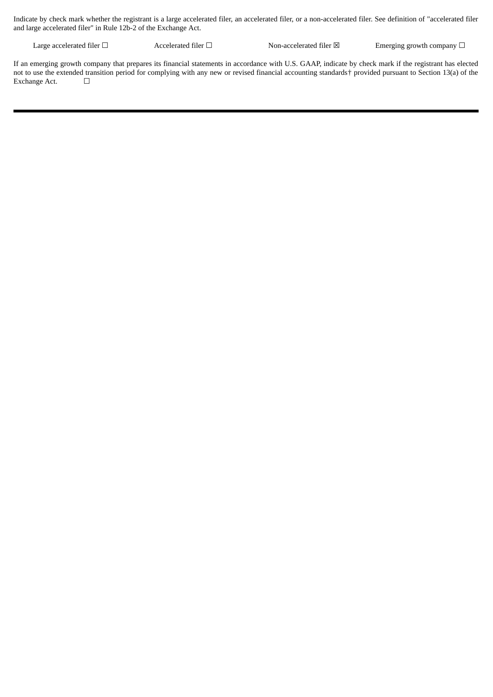Indicate by check mark whether the registrant is a large accelerated filer, an accelerated filer, or a non-accelerated filer. See definition of "accelerated filer and large accelerated filer" in Rule 12b-2 of the Exchange Act.

Large accelerated filer □ Accelerated filer □ Non-accelerated filer ⊠ Emerging growth company □

If an emerging growth company that prepares its financial statements in accordance with U.S. GAAP, indicate by check mark if the registrant has elected not to use the extended transition period for complying with any new or revised financial accounting standards† provided pursuant to Section 13(a) of the Exchange Act.  $□$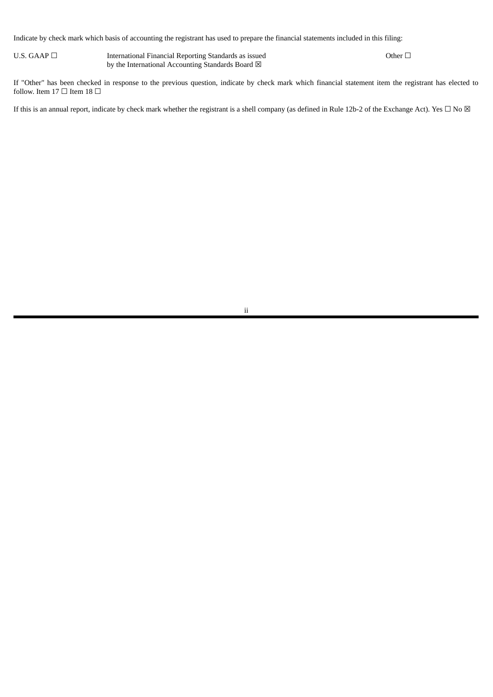Indicate by check mark which basis of accounting the registrant has used to prepare the financial statements included in this filing:

U.S. GAAP □ **International Financial Reporting Standards as issued** by the International Accounting Standards Board  $\boxtimes$ 

Other □

If "Other" has been checked in response to the previous question, indicate by check mark which financial statement item the registrant has elected to follow. Item 17  $\Box$  Item 18  $\Box$ 

If this is an annual report, indicate by check mark whether the registrant is a shell company (as defined in Rule 12b-2 of the Exchange Act). Yes  $\Box$  No  $\boxtimes$ 

ii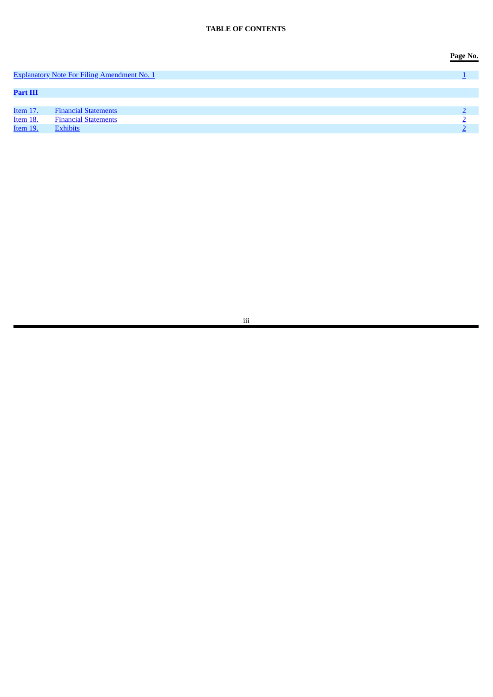### **TABLE OF CONTENTS**

|                 |                                                    | Page No. |
|-----------------|----------------------------------------------------|----------|
|                 |                                                    |          |
|                 | <b>Explanatory Note For Filing Amendment No. 1</b> |          |
|                 |                                                    |          |
| Part III        |                                                    |          |
|                 |                                                    |          |
| <b>Item 17.</b> | <b>Financial Statements</b>                        | n        |
| <u>Item 18.</u> | <b>Financial Statements</b>                        | ◠        |
| <b>Item 19.</b> | <b>Exhibits</b>                                    |          |
|                 |                                                    |          |

iii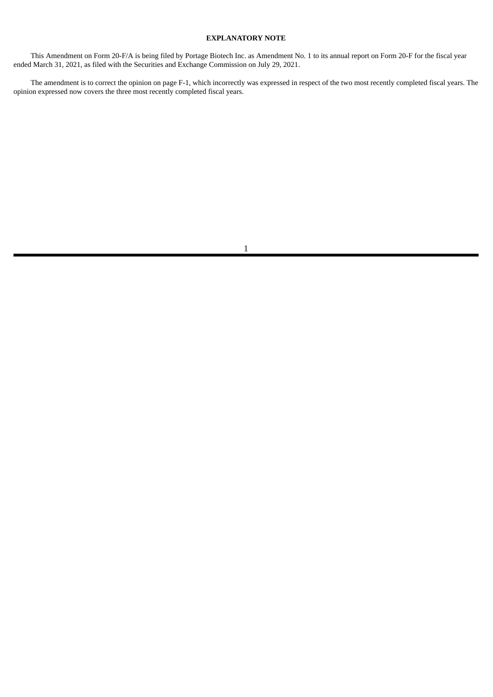### **EXPLANATORY NOTE**

<span id="page-4-0"></span>This Amendment on Form 20-F/A is being filed by Portage Biotech Inc. as Amendment No. 1 to its annual report on Form 20-F for the fiscal year ended March 31, 2021, as filed with the Securities and Exchange Commission on July 29, 2021.

The amendment is to correct the opinion on page F-1, which incorrectly was expressed in respect of the two most recently completed fiscal years. The opinion expressed now covers the three most recently completed fiscal years.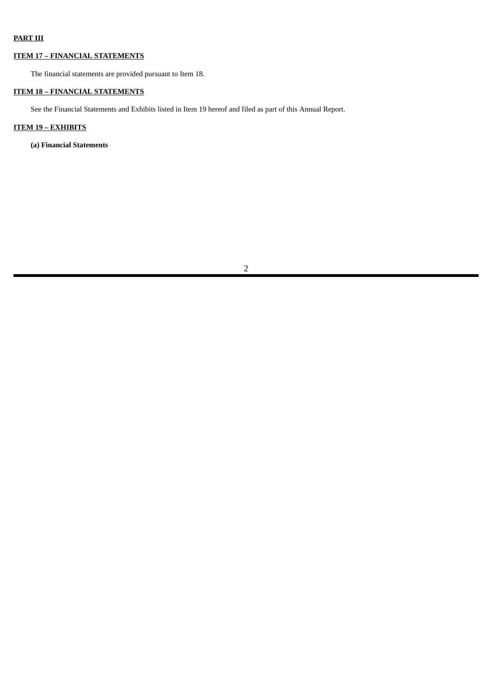### <span id="page-5-0"></span>**PART III**

### <span id="page-5-1"></span>**ITEM 17 – FINANCIAL STATEMENTS**

The financial statements are provided pursuant to Item 18.

### <span id="page-5-2"></span>**ITEM 18 – FINANCIAL STATEMENTS**

See the Financial Statements and Exhibits listed in Item 19 hereof and filed as part of this Annual Report.

### <span id="page-5-3"></span>**ITEM 19 – EXHIBITS**

**(a) Financial Statements**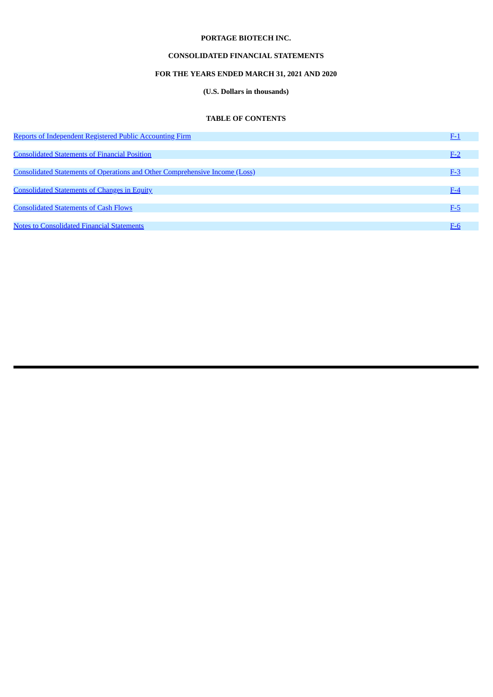### **PORTAGE BIOTECH INC.**

### **CONSOLIDATED FINANCIAL STATEMENTS**

## **FOR THE YEARS ENDED MARCH 31, 2021 AND 2020**

### **(U.S. Dollars in thousands)**

### **TABLE OF CONTENTS**

| Reports of Independent Registered Public Accounting Firm                           | $F-1$ |
|------------------------------------------------------------------------------------|-------|
|                                                                                    |       |
| <b>Consolidated Statements of Financial Position</b>                               | $F-2$ |
|                                                                                    |       |
| <b>Consolidated Statements of Operations and Other Comprehensive Income (Loss)</b> | $F-3$ |
|                                                                                    |       |
| <b>Consolidated Statements of Changes in Equity</b>                                | $F-4$ |
|                                                                                    |       |
| <b>Consolidated Statements of Cash Flows</b>                                       | $F-5$ |
|                                                                                    |       |
| <b>Notes to Consolidated Financial Statements</b>                                  | $F-6$ |
|                                                                                    |       |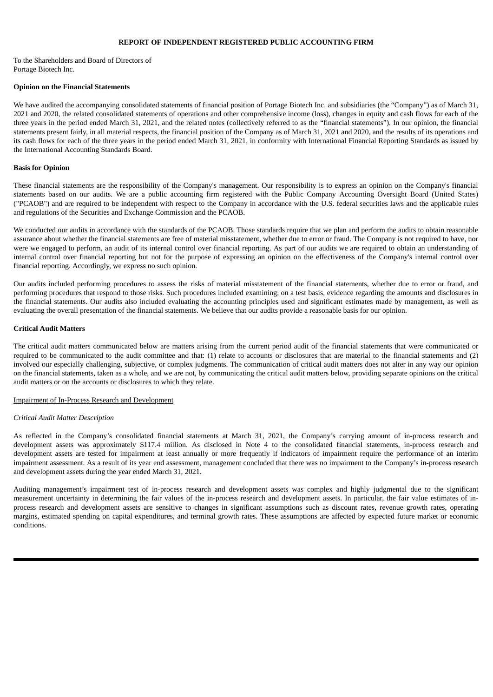#### **REPORT OF INDEPENDENT REGISTERED PUBLIC ACCOUNTING FIRM**

<span id="page-7-0"></span>To the Shareholders and Board of Directors of Portage Biotech Inc.

#### **Opinion on the Financial Statements**

We have audited the accompanying consolidated statements of financial position of Portage Biotech Inc. and subsidiaries (the "Company") as of March 31, 2021 and 2020, the related consolidated statements of operations and other comprehensive income (loss), changes in equity and cash flows for each of the three years in the period ended March 31, 2021, and the related notes (collectively referred to as the "financial statements"). In our opinion, the financial statements present fairly, in all material respects, the financial position of the Company as of March 31, 2021 and 2020, and the results of its operations and its cash flows for each of the three years in the period ended March 31, 2021, in conformity with International Financial Reporting Standards as issued by the International Accounting Standards Board.

#### **Basis for Opinion**

These financial statements are the responsibility of the Company's management. Our responsibility is to express an opinion on the Company's financial statements based on our audits. We are a public accounting firm registered with the Public Company Accounting Oversight Board (United States) ("PCAOB") and are required to be independent with respect to the Company in accordance with the U.S. federal securities laws and the applicable rules and regulations of the Securities and Exchange Commission and the PCAOB.

We conducted our audits in accordance with the standards of the PCAOB. Those standards require that we plan and perform the audits to obtain reasonable assurance about whether the financial statements are free of material misstatement, whether due to error or fraud. The Company is not required to have, nor were we engaged to perform, an audit of its internal control over financial reporting. As part of our audits we are required to obtain an understanding of internal control over financial reporting but not for the purpose of expressing an opinion on the effectiveness of the Company's internal control over financial reporting. Accordingly, we express no such opinion.

Our audits included performing procedures to assess the risks of material misstatement of the financial statements, whether due to error or fraud, and performing procedures that respond to those risks. Such procedures included examining, on a test basis, evidence regarding the amounts and disclosures in the financial statements. Our audits also included evaluating the accounting principles used and significant estimates made by management, as well as evaluating the overall presentation of the financial statements. We believe that our audits provide a reasonable basis for our opinion.

#### **Critical Audit Matters**

The critical audit matters communicated below are matters arising from the current period audit of the financial statements that were communicated or required to be communicated to the audit committee and that: (1) relate to accounts or disclosures that are material to the financial statements and (2) involved our especially challenging, subjective, or complex judgments. The communication of critical audit matters does not alter in any way our opinion on the financial statements, taken as a whole, and we are not, by communicating the critical audit matters below, providing separate opinions on the critical audit matters or on the accounts or disclosures to which they relate.

#### Impairment of In-Process Research and Development

#### *Critical Audit Matter Description*

As reflected in the Company's consolidated financial statements at March 31, 2021, the Company's carrying amount of in-process research and development assets was approximately \$117.4 million. As disclosed in Note 4 to the consolidated financial statements, in-process research and development assets are tested for impairment at least annually or more frequently if indicators of impairment require the performance of an interim impairment assessment. As a result of its year end assessment, management concluded that there was no impairment to the Company's in-process research and development assets during the year ended March 31, 2021.

Auditing management's impairment test of in-process research and development assets was complex and highly judgmental due to the significant measurement uncertainty in determining the fair values of the in-process research and development assets. In particular, the fair value estimates of inprocess research and development assets are sensitive to changes in significant assumptions such as discount rates, revenue growth rates, operating margins, estimated spending on capital expenditures, and terminal growth rates. These assumptions are affected by expected future market or economic conditions.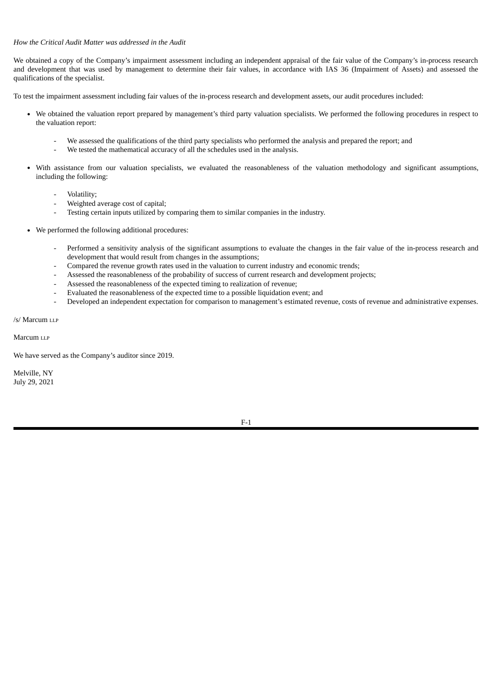### *How the Critical Audit Matter was addressed in the Audit*

We obtained a copy of the Company's impairment assessment including an independent appraisal of the fair value of the Company's in-process research and development that was used by management to determine their fair values, in accordance with IAS 36 (Impairment of Assets) and assessed the qualifications of the specialist.

To test the impairment assessment including fair values of the in-process research and development assets, our audit procedures included:

- We obtained the valuation report prepared by management's third party valuation specialists. We performed the following procedures in respect to the valuation report:
	- We assessed the qualifications of the third party specialists who performed the analysis and prepared the report; and
	- We tested the mathematical accuracy of all the schedules used in the analysis.
- With assistance from our valuation specialists, we evaluated the reasonableness of the valuation methodology and significant assumptions, including the following:
	- Volatility;
	- Weighted average cost of capital;
	- Testing certain inputs utilized by comparing them to similar companies in the industry.
- We performed the following additional procedures:
	- Performed a sensitivity analysis of the significant assumptions to evaluate the changes in the fair value of the in-process research and development that would result from changes in the assumptions;
	- Compared the revenue growth rates used in the valuation to current industry and economic trends;
	- Assessed the reasonableness of the probability of success of current research and development projects;
	- Assessed the reasonableness of the expected timing to realization of revenue;
	- Evaluated the reasonableness of the expected time to a possible liquidation event; and
	- Developed an independent expectation for comparison to management's estimated revenue, costs of revenue and administrative expenses.

/s/ Marcum LLP

Marcum LLP

We have served as the Company's auditor since 2019.

Melville, NY July 29, 2021

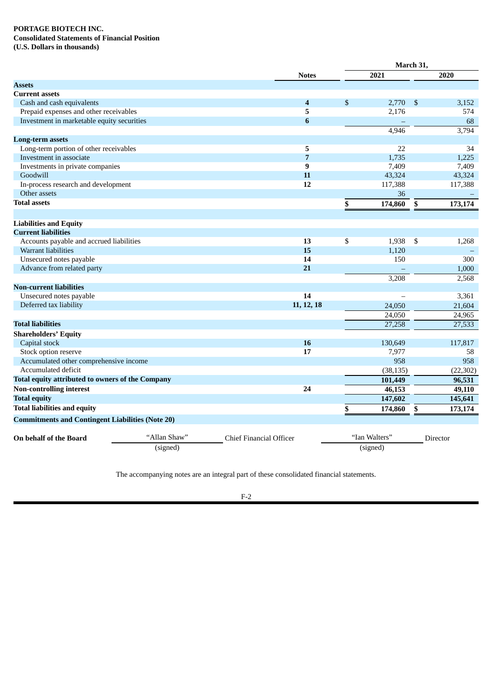### <span id="page-9-0"></span>**PORTAGE BIOTECH INC. Consolidated Statements of Financial Position (U.S. Dollars in thousands)**

|                                                         |              |                                |               | March 31, |           |  |  |
|---------------------------------------------------------|--------------|--------------------------------|---------------|-----------|-----------|--|--|
|                                                         |              | <b>Notes</b>                   | 2021          |           | 2020      |  |  |
| <b>Assets</b>                                           |              |                                |               |           |           |  |  |
| <b>Current assets</b>                                   |              |                                |               |           |           |  |  |
| Cash and cash equivalents                               |              | $\boldsymbol{4}$               | \$<br>2,770   | \$        | 3,152     |  |  |
| Prepaid expenses and other receivables                  |              | 5                              | 2,176         |           | 574       |  |  |
| Investment in marketable equity securities              |              | 6                              |               |           | 68        |  |  |
|                                                         |              |                                | 4,946         |           | 3,794     |  |  |
| <b>Long-term assets</b>                                 |              |                                |               |           |           |  |  |
| Long-term portion of other receivables                  |              | 5                              | 22            |           | 34        |  |  |
| Investment in associate                                 |              | $\overline{7}$                 | 1,735         |           | 1,225     |  |  |
| Investments in private companies                        |              | 9                              | 7,409         |           | 7,409     |  |  |
| Goodwill                                                |              | 11                             | 43,324        |           | 43,324    |  |  |
| In-process research and development                     |              | 12                             | 117,388       |           | 117,388   |  |  |
| Other assets                                            |              |                                | 36            |           |           |  |  |
| <b>Total assets</b>                                     |              |                                | \$<br>174,860 | \$        | 173,174   |  |  |
| <b>Liabilities and Equity</b>                           |              |                                |               |           |           |  |  |
| <b>Current liabilities</b>                              |              |                                |               |           |           |  |  |
| Accounts payable and accrued liabilities                |              | 13                             | \$<br>1,938   | -\$       | 1,268     |  |  |
| Warrant liabilities                                     |              | 15                             | 1,120         |           |           |  |  |
| Unsecured notes payable                                 |              | 14                             | 150           |           | 300       |  |  |
| Advance from related party                              |              | 21                             |               |           | 1,000     |  |  |
|                                                         |              |                                |               |           |           |  |  |
| <b>Non-current liabilities</b>                          |              |                                | 3,208         |           | 2,568     |  |  |
| Unsecured notes payable                                 |              | 14                             |               |           | 3,361     |  |  |
|                                                         |              |                                |               |           |           |  |  |
| Deferred tax liability                                  |              | 11, 12, 18                     | 24,050        |           | 21,604    |  |  |
|                                                         |              |                                | 24,050        |           | 24,965    |  |  |
| <b>Total liabilities</b>                                |              |                                | 27,258        |           | 27,533    |  |  |
| <b>Shareholders' Equity</b>                             |              |                                |               |           |           |  |  |
| Capital stock                                           |              | 16                             | 130,649       |           | 117,817   |  |  |
| Stock option reserve                                    |              | 17                             | 7,977         |           | 58        |  |  |
| Accumulated other comprehensive income                  |              |                                | 958           |           | 958       |  |  |
| Accumulated deficit                                     |              |                                | (38, 135)     |           | (22, 302) |  |  |
| <b>Total equity attributed to owners of the Company</b> |              |                                | 101,449       |           | 96,531    |  |  |
| <b>Non-controlling interest</b>                         |              | 24                             | 46,153        |           | 49,110    |  |  |
| <b>Total equity</b>                                     |              |                                | 147,602       |           | 145,641   |  |  |
| <b>Total liabilities and equity</b>                     |              |                                | \$<br>174,860 | \$        | 173,174   |  |  |
| <b>Commitments and Contingent Liabilities (Note 20)</b> |              |                                |               |           |           |  |  |
| <b>On behalf of the Board</b>                           | "Allan Shaw" | <b>Chief Financial Officer</b> | "Ian Walters" |           | Director  |  |  |
|                                                         | (signed)     |                                | (signed)      |           |           |  |  |

The accompanying notes are an integral part of these consolidated financial statements.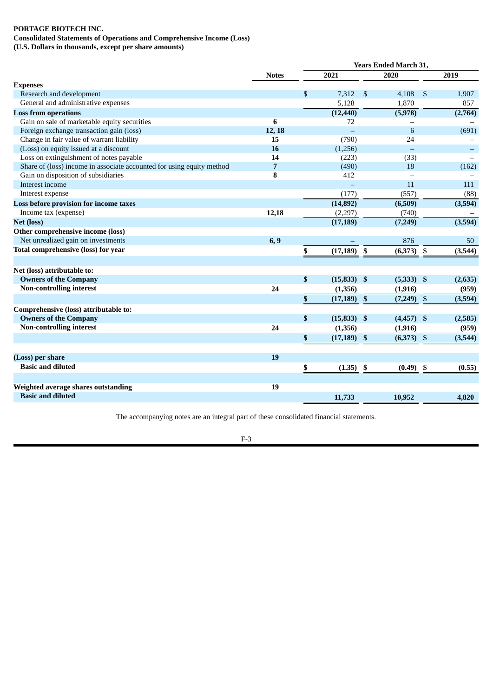### <span id="page-10-0"></span>**PORTAGE BIOTECH INC.**

### **Consolidated Statements of Operations and Comprehensive Income (Loss)**

**(U.S. Dollars in thousands, except per share amounts)**

|                                                                       |              | <b>Years Ended March 31,</b> |                |                           |              |      |         |  |
|-----------------------------------------------------------------------|--------------|------------------------------|----------------|---------------------------|--------------|------|---------|--|
|                                                                       | <b>Notes</b> |                              | 2021           |                           | 2020         |      | 2019    |  |
| <b>Expenses</b>                                                       |              |                              |                |                           |              |      |         |  |
| Research and development                                              |              | $\mathbb{S}$                 | 7,312          | $\mathfrak{s}$            | 4,108        | \$   | 1,907   |  |
| General and administrative expenses                                   |              |                              | 5,128          |                           | 1,870        |      | 857     |  |
| <b>Loss from operations</b>                                           |              |                              | (12, 440)      |                           | (5,978)      |      | (2,764) |  |
| Gain on sale of marketable equity securities                          | 6            |                              | 72             |                           |              |      |         |  |
| Foreign exchange transaction gain (loss)                              | 12, 18       |                              |                |                           | 6            |      | (691)   |  |
| Change in fair value of warrant liability                             | 15           |                              | (790)          |                           | 24           |      |         |  |
| (Loss) on equity issued at a discount                                 | 16           |                              | (1,256)        |                           |              |      |         |  |
| Loss on extinguishment of notes payable                               | 14           |                              | (223)          |                           | (33)         |      |         |  |
| Share of (loss) income in associate accounted for using equity method | 7            |                              | (490)          |                           | 18           |      | (162)   |  |
| Gain on disposition of subsidiaries                                   | 8            |                              | 412            |                           |              |      |         |  |
| Interest income                                                       |              |                              | $\equiv$       |                           | 11           |      | 111     |  |
| Interest expense                                                      |              |                              | (177)          |                           | (557)        |      | (88)    |  |
| Loss before provision for income taxes                                |              |                              | (14, 892)      |                           | (6,509)      |      | (3,594) |  |
| Income tax (expense)                                                  | 12,18        |                              | (2, 297)       |                           | (740)        |      |         |  |
| <b>Net (loss)</b>                                                     |              |                              | (17, 189)      |                           | (7,249)      |      | (3,594) |  |
| Other comprehensive income (loss)                                     |              |                              |                |                           |              |      |         |  |
| Net unrealized gain on investments                                    | 6, 9         |                              |                |                           | 876          |      | 50      |  |
| <b>Total comprehensive (loss) for year</b>                            |              | \$                           | $(17, 189)$ \$ |                           | $(6,373)$ \$ |      | (3,544) |  |
|                                                                       |              |                              |                |                           |              |      |         |  |
| Net (loss) attributable to:                                           |              |                              |                |                           |              |      |         |  |
| <b>Owners of the Company</b>                                          |              | \$                           | $(15,833)$ \$  |                           | $(5,333)$ \$ |      | (2,635) |  |
| <b>Non-controlling interest</b>                                       | 24           |                              | (1, 356)       |                           | (1, 916)     |      | (959)   |  |
|                                                                       |              | \$                           | (17, 189)      | $\boldsymbol{\mathsf{s}}$ | (7,249)      | \$   | (3,594) |  |
| Comprehensive (loss) attributable to:                                 |              |                              |                |                           |              |      |         |  |
| <b>Owners of the Company</b>                                          |              | $\boldsymbol{\mathsf{s}}$    | $(15,833)$ \$  |                           | (4, 457)     | - \$ | (2,585) |  |
| <b>Non-controlling interest</b>                                       | 24           |                              | (1, 356)       |                           | (1, 916)     |      | (959)   |  |
|                                                                       |              | \$                           | (17, 189)      | $\boldsymbol{\mathsf{s}}$ | (6,373)      | \$   | (3,544) |  |
|                                                                       |              |                              |                |                           |              |      |         |  |
| (Loss) per share                                                      | 19           |                              |                |                           |              |      |         |  |
| <b>Basic and diluted</b>                                              |              | \$                           | $(1.35)$ \$    |                           | (0.49)       | \$   | (0.55)  |  |
|                                                                       |              |                              |                |                           |              |      |         |  |
| Weighted average shares outstanding                                   | 19           |                              |                |                           |              |      |         |  |
| <b>Basic and diluted</b>                                              |              |                              | 11,733         |                           | 10,952       |      | 4,820   |  |

The accompanying notes are an integral part of these consolidated financial statements.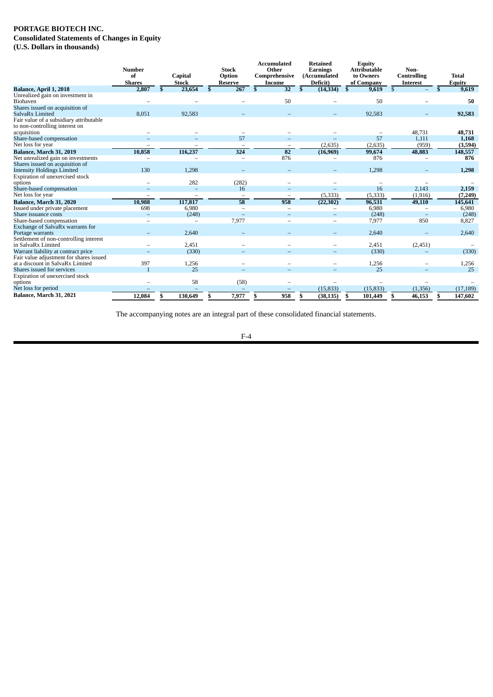### <span id="page-11-0"></span>**PORTAGE BIOTECH INC. Consolidated Statements of Changes in Equity (U.S. Dollars in thousands)**

|                                                                           | <b>Number</b><br>of<br><b>Shares</b> | Capital<br><b>Stock</b>  | <b>Stock</b><br>Option<br><b>Reserve</b> | <b>Accumulated</b><br>Other<br>Comprehensive<br>Income | <b>Retained</b><br><b>Earnings</b><br>(Accumulated<br>Deficit) | <b>Equity</b><br><b>Attributable</b><br>to Owners<br>of Company | Non-<br>Controlling<br><b>Interest</b> | <b>Total</b><br><b>Equity</b> |
|---------------------------------------------------------------------------|--------------------------------------|--------------------------|------------------------------------------|--------------------------------------------------------|----------------------------------------------------------------|-----------------------------------------------------------------|----------------------------------------|-------------------------------|
| Balance, April 1, 2018                                                    | 2,807                                | 23,654                   | 267<br>\$                                | 32                                                     | (14, 334)                                                      | $\mathbf{s}$<br>9,619                                           | $\mathcal{S}$                          | 9,619<br>\$.                  |
| Unrealized gain on investment in<br>Biohaven                              |                                      |                          |                                          | 50                                                     |                                                                | 50                                                              |                                        | 50                            |
| Shares issued on acquisition of<br>SalvaRx Limited                        | 8.051                                | 92,583                   |                                          |                                                        |                                                                | 92,583                                                          |                                        | 92,583                        |
| Fair value of a subsidiary attributable<br>to non-controlling interest on |                                      |                          |                                          |                                                        |                                                                |                                                                 |                                        |                               |
| acquisition                                                               |                                      |                          |                                          |                                                        |                                                                |                                                                 | 48,731                                 | 48,731                        |
| Share-based compensation                                                  |                                      |                          | 57                                       |                                                        |                                                                | 57                                                              | 1,111                                  | 1,168                         |
| Net loss for year                                                         |                                      |                          |                                          | $\qquad \qquad -$                                      | (2,635)                                                        | (2,635)                                                         | (959)                                  | (3,594)                       |
| Balance, March 31, 2019                                                   | 10,858                               | 116,237                  | 324                                      | $\overline{82}$                                        | (16,969)                                                       | 99,674                                                          | 48,883                                 | 148,557                       |
| Net unrealized gain on investments                                        |                                      |                          |                                          | 876                                                    | $\overline{\phantom{m}}$                                       | 876                                                             |                                        | 876                           |
| Shares issued on acquisition of                                           |                                      |                          |                                          |                                                        |                                                                |                                                                 |                                        |                               |
| <b>Intensity Holdings Limited</b>                                         | 130                                  | 1,298                    |                                          |                                                        |                                                                | 1,298                                                           |                                        | 1,298                         |
| Expiration of unexercised stock                                           |                                      |                          |                                          |                                                        |                                                                |                                                                 |                                        |                               |
| options                                                                   |                                      | 282                      | (282)                                    |                                                        |                                                                |                                                                 |                                        |                               |
| Share-based compensation                                                  |                                      | $\equiv$                 | 16                                       |                                                        |                                                                | 16                                                              | 2,143                                  | 2,159                         |
| Net loss for year                                                         | $\overline{\phantom{a}}$             | $\overline{\phantom{0}}$ |                                          | $\overline{\phantom{0}}$                               | (5, 333)                                                       | (5,333)                                                         | (1,916)                                | (7,249)                       |
| Balance, March 31, 2020                                                   | 10,988                               | 117,817                  | 58                                       | 958                                                    | (22, 302)                                                      | 96,531                                                          | 49,110                                 | 145,641                       |
| Issued under private placement                                            | 698                                  | 6.980                    | $\overline{\phantom{m}}$                 |                                                        | $\overline{\phantom{m}}$                                       | 6.980                                                           |                                        | 6,980                         |
| Share issuance costs                                                      |                                      | (248)                    |                                          |                                                        |                                                                | (248)                                                           |                                        | (248)                         |
| Share-based compensation                                                  |                                      |                          | 7,977                                    |                                                        |                                                                | 7,977                                                           | 850                                    | 8,827                         |
| Exchange of SalvaRx warrants for                                          |                                      |                          |                                          |                                                        |                                                                |                                                                 |                                        |                               |
| Portage warrants                                                          |                                      | 2,640                    |                                          |                                                        |                                                                | 2,640                                                           |                                        | 2,640                         |
| Settlement of non-controlling interest                                    |                                      |                          |                                          |                                                        |                                                                |                                                                 |                                        |                               |
| in SalvaRx Limited                                                        |                                      | 2,451                    |                                          |                                                        |                                                                | 2,451                                                           | (2,451)                                |                               |
| Warrant liability at contract price                                       |                                      | (330)                    |                                          |                                                        |                                                                | (330)                                                           |                                        | (330)                         |
| Fair value adjustment for shares issued                                   |                                      |                          |                                          |                                                        |                                                                |                                                                 |                                        |                               |
| at a discount in SalvaRx Limited                                          | 397                                  | 1,256                    |                                          |                                                        |                                                                | 1,256                                                           |                                        | 1,256                         |
| Shares issued for services                                                | $\overline{1}$                       | 25                       |                                          |                                                        |                                                                | 25                                                              |                                        | 25                            |
| Expiration of unexercised stock                                           |                                      |                          |                                          |                                                        |                                                                |                                                                 |                                        |                               |
| options                                                                   |                                      | 58                       | (58)                                     |                                                        |                                                                |                                                                 |                                        |                               |
| Net loss for period                                                       |                                      |                          |                                          |                                                        | (15, 833)                                                      | (15, 833)                                                       | (1,356)                                | (17, 189)                     |
| Balance, March 31, 2021                                                   | 12.084                               | 130,649                  | 7,977<br>S                               | 958                                                    | (38, 135)                                                      | 101,449                                                         | 46,153                                 | 147,602                       |
|                                                                           |                                      |                          |                                          |                                                        |                                                                |                                                                 |                                        |                               |

The accompanying notes are an integral part of these consolidated financial statements.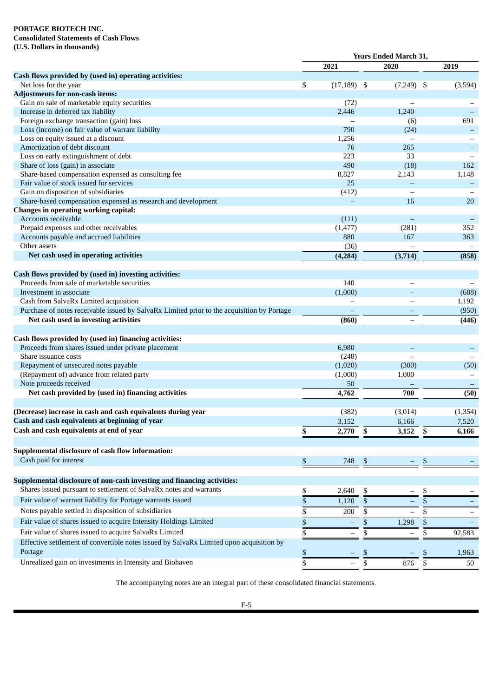# <span id="page-12-0"></span>**PORTAGE BIOTECH INC.**

**Consolidated Statements of Cash Flows (U.S. Dollars in thousands)**

|                                                                                                                                     | <b>Years Ended March 31,</b> |                                     |    |                          |    |                          |
|-------------------------------------------------------------------------------------------------------------------------------------|------------------------------|-------------------------------------|----|--------------------------|----|--------------------------|
|                                                                                                                                     |                              | 2021                                |    | 2020                     |    | 2019                     |
| Cash flows provided by (used in) operating activities:                                                                              |                              |                                     |    |                          |    |                          |
| Net loss for the year                                                                                                               | \$                           | $(17,189)$ \$                       |    | $(7,249)$ \$             |    | (3,594)                  |
| <b>Adjustments for non-cash items:</b>                                                                                              |                              |                                     |    |                          |    |                          |
| Gain on sale of marketable equity securities                                                                                        |                              | (72)                                |    |                          |    |                          |
| Increase in deferred tax liability                                                                                                  |                              | 2,446                               |    | 1,240                    |    |                          |
| Foreign exchange transaction (gain) loss                                                                                            |                              |                                     |    | (6)                      |    | 691                      |
| Loss (income) on fair value of warrant liability                                                                                    |                              | 790                                 |    | (24)                     |    |                          |
| Loss on equity issued at a discount                                                                                                 |                              | 1,256                               |    |                          |    |                          |
| Amortization of debt discount                                                                                                       |                              | 76                                  |    | 265                      |    |                          |
| Loss on early extinguishment of debt                                                                                                |                              | 223                                 |    | 33                       |    |                          |
| Share of loss (gain) in associate                                                                                                   |                              | 490                                 |    | (18)                     |    | 162                      |
| Share-based compensation expensed as consulting fee                                                                                 |                              | 8,827                               |    | 2,143                    |    | 1,148                    |
| Fair value of stock issued for services                                                                                             |                              | 25                                  |    |                          |    |                          |
| Gain on disposition of subsidiaries                                                                                                 |                              | (412)                               |    |                          |    |                          |
| Share-based compensation expensed as research and development                                                                       |                              |                                     |    | 16                       |    | 20                       |
| Changes in operating working capital:                                                                                               |                              |                                     |    |                          |    |                          |
| Accounts receivable                                                                                                                 |                              | (111)                               |    |                          |    |                          |
| Prepaid expenses and other receivables<br>Accounts payable and accrued liabilities                                                  |                              | (1, 477)<br>880                     |    | (281)<br>167             |    | 352<br>363               |
| Other assets                                                                                                                        |                              |                                     |    |                          |    |                          |
|                                                                                                                                     |                              | (36)                                |    |                          |    |                          |
| Net cash used in operating activities                                                                                               |                              | (4, 284)                            |    | (3,714)                  |    | (858)                    |
|                                                                                                                                     |                              |                                     |    |                          |    |                          |
| Cash flows provided by (used in) investing activities:                                                                              |                              |                                     |    |                          |    |                          |
| Proceeds from sale of marketable securities<br>Investment in associate                                                              |                              | 140                                 |    | $\overline{\phantom{0}}$ |    |                          |
|                                                                                                                                     |                              | (1,000)<br>$\overline{\phantom{0}}$ |    | $\overline{\phantom{0}}$ |    | (688)<br>1,192           |
| Cash from SalvaRx Limited acquisition                                                                                               |                              |                                     |    |                          |    |                          |
| Purchase of notes receivable issued by SalvaRx Limited prior to the acquisition by Portage<br>Net cash used in investing activities |                              |                                     |    |                          |    | (950)                    |
|                                                                                                                                     |                              | (860)                               |    | -                        |    | (446)                    |
|                                                                                                                                     |                              |                                     |    |                          |    |                          |
| Cash flows provided by (used in) financing activities:<br>Proceeds from shares issued under private placement                       |                              | 6,980                               |    |                          |    |                          |
| Share issuance costs                                                                                                                |                              | (248)                               |    |                          |    |                          |
| Repayment of unsecured notes payable                                                                                                |                              | (1,020)                             |    | (300)                    |    | (50)                     |
| (Repayment of) advance from related party                                                                                           |                              | (1,000)                             |    | 1,000                    |    |                          |
| Note proceeds received                                                                                                              |                              | 50                                  |    |                          |    |                          |
| Net cash provided by (used in) financing activities                                                                                 |                              | 4,762                               |    | 700                      |    | (50)                     |
|                                                                                                                                     |                              |                                     |    |                          |    |                          |
| (Decrease) increase in cash and cash equivalents during year                                                                        |                              | (382)                               |    | (3,014)                  |    | (1, 354)                 |
| Cash and cash equivalents at beginning of year                                                                                      |                              |                                     |    |                          |    |                          |
| Cash and cash equivalents at end of year                                                                                            |                              | 3,152                               |    | 6,166                    |    | 7,520                    |
|                                                                                                                                     | \$                           | 2,770                               | \$ | 3,152                    | \$ | 6,166                    |
|                                                                                                                                     |                              |                                     |    |                          |    |                          |
| Supplemental disclosure of cash flow information:                                                                                   |                              |                                     |    |                          |    |                          |
| Cash paid for interest                                                                                                              | \$                           | 748                                 | \$ | Ξ.                       | \$ |                          |
|                                                                                                                                     |                              |                                     |    |                          |    |                          |
| Supplemental disclosure of non-cash investing and financing activities:                                                             |                              |                                     |    |                          |    |                          |
| Shares issued pursuant to settlement of SalvaRx notes and warrants                                                                  | \$                           | 2,640                               | \$ |                          | \$ |                          |
| Fair value of warrant liability for Portage warrants issued                                                                         | \$                           | 1,120                               | \$ |                          | \$ |                          |
| Notes payable settled in disposition of subsidiaries                                                                                | \$                           | 200                                 | \$ | $\overline{\phantom{0}}$ | \$ | $\overline{\phantom{0}}$ |
| Fair value of shares issued to acquire Intensity Holdings Limited                                                                   |                              |                                     |    |                          |    |                          |
|                                                                                                                                     | \$                           |                                     | \$ | 1,298                    | \$ |                          |
| Fair value of shares issued to acquire SalvaRx Limited                                                                              | \$                           | $\qquad \qquad -$                   | \$ | $\qquad \qquad -$        | \$ | 92,583                   |
| Effective settlement of convertible notes issued by SalvaRx Limited upon acquisition by                                             |                              |                                     |    |                          |    |                          |
| Portage                                                                                                                             | \$                           |                                     | \$ |                          | \$ | 1,963                    |
| Unrealized gain on investments in Intensity and Biohaven                                                                            | \$                           | —                                   | \$ | 876                      | \$ | 50                       |

The accompanying notes are an integral part of these consolidated financial statements.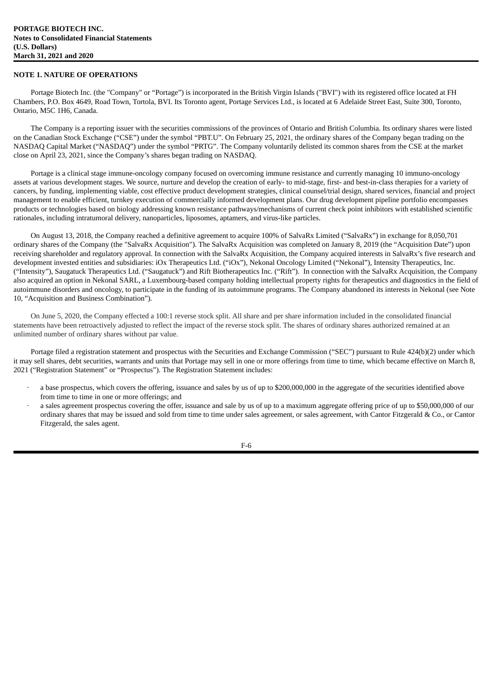#### <span id="page-13-0"></span>**NOTE 1. NATURE OF OPERATIONS**

Portage Biotech Inc. (the "Company" or "Portage") is incorporated in the British Virgin Islands ("BVI") with its registered office located at FH Chambers, P.O. Box 4649, Road Town, Tortola, BVI. Its Toronto agent, Portage Services Ltd., is located at 6 Adelaide Street East, Suite 300, Toronto, Ontario, M5C 1H6, Canada.

The Company is a reporting issuer with the securities commissions of the provinces of Ontario and British Columbia. Its ordinary shares were listed on the Canadian Stock Exchange ("CSE") under the symbol "PBT.U". On February 25, 2021, the ordinary shares of the Company began trading on the NASDAQ Capital Market ("NASDAQ") under the symbol "PRTG". The Company voluntarily delisted its common shares from the CSE at the market close on April 23, 2021, since the Company's shares began trading on NASDAQ.

Portage is a clinical stage immune-oncology company focused on overcoming immune resistance and currently managing 10 immuno-oncology assets at various development stages. We source, nurture and develop the creation of early- to mid-stage, first- and best-in-class therapies for a variety of cancers, by funding, implementing viable, cost effective product development strategies, clinical counsel/trial design, shared services, financial and project management to enable efficient, turnkey execution of commercially informed development plans. Our drug development pipeline portfolio encompasses products or technologies based on biology addressing known resistance pathways/mechanisms of current check point inhibitors with established scientific rationales, including intratumoral delivery, nanoparticles, liposomes, aptamers, and virus-like particles.

On August 13, 2018, the Company reached a definitive agreement to acquire 100% of SalvaRx Limited ("SalvaRx") in exchange for 8,050,701 ordinary shares of the Company (the "SalvaRx Acquisition"). The SalvaRx Acquisition was completed on January 8, 2019 (the "Acquisition Date") upon receiving shareholder and regulatory approval. In connection with the SalvaRx Acquisition, the Company acquired interests in SalvaRx's five research and development invested entities and subsidiaries: iOx Therapeutics Ltd. ("iOx"), Nekonal Oncology Limited ("Nekonal"), Intensity Therapeutics, Inc. ("Intensity"), Saugatuck Therapeutics Ltd. ("Saugatuck") and Rift Biotherapeutics Inc. ("Rift"). In connection with the SalvaRx Acquisition, the Company also acquired an option in Nekonal SARL, a Luxembourg-based company holding intellectual property rights for therapeutics and diagnostics in the field of autoimmune disorders and oncology, to participate in the funding of its autoimmune programs. The Company abandoned its interests in Nekonal (see Note 10, "Acquisition and Business Combination").

On June 5, 2020, the Company effected a 100:1 reverse stock split. All share and per share information included in the consolidated financial statements have been retroactively adjusted to reflect the impact of the reverse stock split. The shares of ordinary shares authorized remained at an unlimited number of ordinary shares without par value.

Portage filed a registration statement and prospectus with the Securities and Exchange Commission ("SEC") pursuant to Rule 424(b)(2) under which it may sell shares, debt securities, warrants and units that Portage may sell in one or more offerings from time to time, which became effective on March 8, 2021 ("Registration Statement" or "Prospectus"). The Registration Statement includes:

- · a base prospectus, which covers the offering, issuance and sales by us of up to \$200,000,000 in the aggregate of the securities identified above from time to time in one or more offerings; and
- · a sales agreement prospectus covering the offer, issuance and sale by us of up to a maximum aggregate offering price of up to \$50,000,000 of our ordinary shares that may be issued and sold from time to time under sales agreement, or sales agreement, with Cantor Fitzgerald & Co., or Cantor Fitzgerald, the sales agent.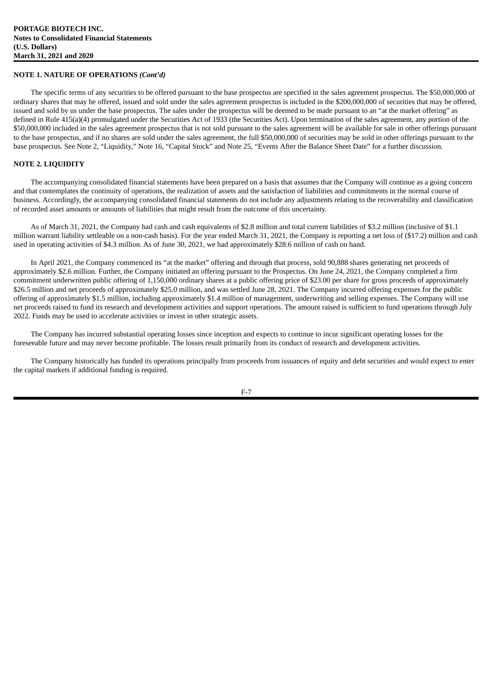#### **NOTE 1. NATURE OF OPERATIONS** *(Cont'd)*

The specific terms of any securities to be offered pursuant to the base prospectus are specified in the sales agreement prospectus. The \$50,000,000 of ordinary shares that may be offered, issued and sold under the sales agreement prospectus is included in the \$200,000,000 of securities that may be offered, issued and sold by us under the base prospectus. The sales under the prospectus will be deemed to be made pursuant to an "at the market offering" as defined in Rule 415(a)(4) promulgated under the Securities Act of 1933 (the Securities Act). Upon termination of the sales agreement, any portion of the \$50,000,000 included in the sales agreement prospectus that is not sold pursuant to the sales agreement will be available for sale in other offerings pursuant to the base prospectus, and if no shares are sold under the sales agreement, the full \$50,000,000 of securities may be sold in other offerings pursuant to the base prospectus. See Note 2, "Liquidity," Note 16, "Capital Stock" and Note 25, "Events After the Balance Sheet Date" for a further discussion.

### **NOTE 2. LIQUIDITY**

The accompanying consolidated financial statements have been prepared on a basis that assumes that the Company will continue as a going concern and that contemplates the continuity of operations, the realization of assets and the satisfaction of liabilities and commitments in the normal course of business. Accordingly, the accompanying consolidated financial statements do not include any adjustments relating to the recoverability and classification of recorded asset amounts or amounts of liabilities that might result from the outcome of this uncertainty.

As of March 31, 2021, the Company had cash and cash equivalents of \$2.8 million and total current liabilities of \$3.2 million (inclusive of \$1.1 million warrant liability settleable on a non-cash basis). For the year ended March 31, 2021, the Company is reporting a net loss of (\$17.2) million and cash used in operating activities of \$4.3 million. As of June 30, 2021, we had approximately \$28.6 million of cash on hand.

In April 2021, the Company commenced its "at the market" offering and through that process, sold 90,888 shares generating net proceeds of approximately \$2.6 million. Further, the Company initiated an offering pursuant to the Prospectus. On June 24, 2021, the Company completed a firm commitment underwritten public offering of 1,150,000 ordinary shares at a public offering price of \$23.00 per share for gross proceeds of approximately \$26.5 million and net proceeds of approximately \$25.0 million, and was settled June 28, 2021. The Company incurred offering expenses for the public offering of approximately \$1.5 million, including approximately \$1.4 million of management, underwriting and selling expenses. The Company will use net proceeds raised to fund its research and development activities and support operations. The amount raised is sufficient to fund operations through July 2022. Funds may be used to accelerate activities or invest in other strategic assets.

The Company has incurred substantial operating losses since inception and expects to continue to incur significant operating losses for the foreseeable future and may never become profitable. The losses result primarily from its conduct of research and development activities.

The Company historically has funded its operations principally from proceeds from issuances of equity and debt securities and would expect to enter the capital markets if additional funding is required.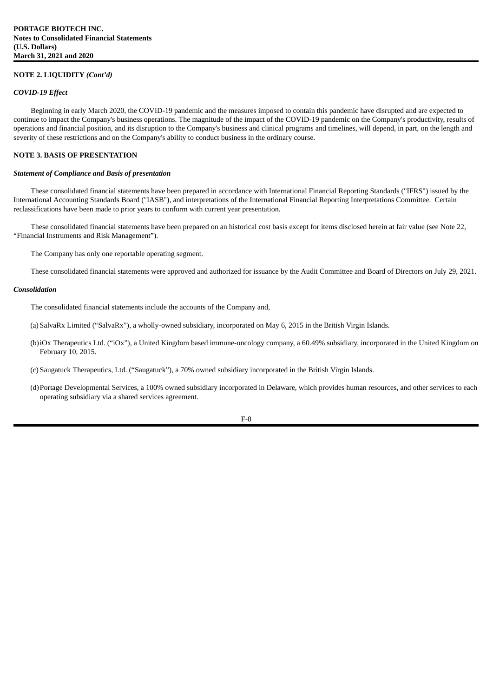### **NOTE 2. LIQUIDITY** *(Cont'd)*

#### *COVID-19 Effect*

Beginning in early March 2020, the COVID-19 pandemic and the measures imposed to contain this pandemic have disrupted and are expected to continue to impact the Company's business operations. The magnitude of the impact of the COVID-19 pandemic on the Company's productivity, results of operations and financial position, and its disruption to the Company's business and clinical programs and timelines, will depend, in part, on the length and severity of these restrictions and on the Company's ability to conduct business in the ordinary course.

#### **NOTE 3. BASIS OF PRESENTATION**

#### *Statement of Compliance and Basis of presentation*

These consolidated financial statements have been prepared in accordance with International Financial Reporting Standards ("IFRS") issued by the International Accounting Standards Board ("IASB"), and interpretations of the International Financial Reporting Interpretations Committee. Certain reclassifications have been made to prior years to conform with current year presentation.

These consolidated financial statements have been prepared on an historical cost basis except for items disclosed herein at fair value (see Note 22, "Financial Instruments and Risk Management").

The Company has only one reportable operating segment.

These consolidated financial statements were approved and authorized for issuance by the Audit Committee and Board of Directors on July 29, 2021.

#### *Consolidation*

The consolidated financial statements include the accounts of the Company and,

- (a) SalvaRx Limited ("SalvaRx"), a wholly-owned subsidiary, incorporated on May 6, 2015 in the British Virgin Islands.
- (b)iOx Therapeutics Ltd. ("iOx"), a United Kingdom based immune-oncology company, a 60.49% subsidiary, incorporated in the United Kingdom on February 10, 2015.
- (c) Saugatuck Therapeutics, Ltd. ("Saugatuck"), a 70% owned subsidiary incorporated in the British Virgin Islands.
- (d)Portage Developmental Services, a 100% owned subsidiary incorporated in Delaware, which provides human resources, and other services to each operating subsidiary via a shared services agreement.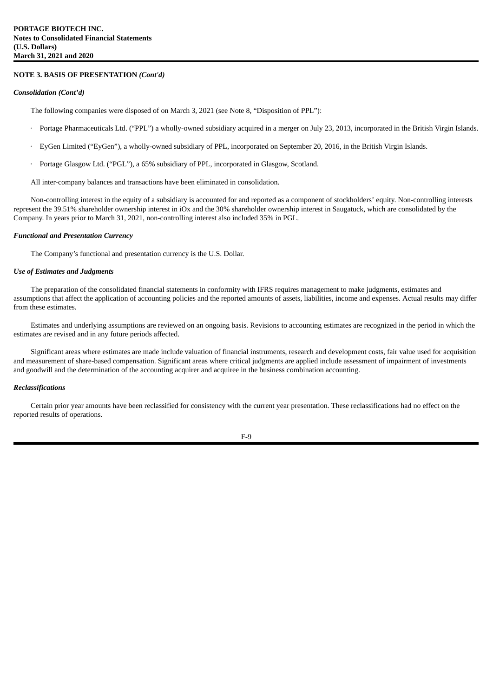#### **NOTE 3. BASIS OF PRESENTATION** *(Cont'd)*

#### *Consolidation (Cont'd)*

The following companies were disposed of on March 3, 2021 (see Note 8, "Disposition of PPL"):

- · Portage Pharmaceuticals Ltd. ("PPL") a wholly-owned subsidiary acquired in a merger on July 23, 2013, incorporated in the British Virgin Islands.
- · EyGen Limited ("EyGen"), a wholly-owned subsidiary of PPL, incorporated on September 20, 2016, in the British Virgin Islands.
- Portage Glasgow Ltd. ("PGL"), a 65% subsidiary of PPL, incorporated in Glasgow, Scotland.

All inter-company balances and transactions have been eliminated in consolidation.

Non-controlling interest in the equity of a subsidiary is accounted for and reported as a component of stockholders' equity. Non-controlling interests represent the 39.51% shareholder ownership interest in iOx and the 30% shareholder ownership interest in Saugatuck, which are consolidated by the Company. In years prior to March 31, 2021, non-controlling interest also included 35% in PGL.

#### *Functional and Presentation Currency*

The Company's functional and presentation currency is the U.S. Dollar.

#### *Use of Estimates and Judgments*

The preparation of the consolidated financial statements in conformity with IFRS requires management to make judgments, estimates and assumptions that affect the application of accounting policies and the reported amounts of assets, liabilities, income and expenses. Actual results may differ from these estimates.

Estimates and underlying assumptions are reviewed on an ongoing basis. Revisions to accounting estimates are recognized in the period in which the estimates are revised and in any future periods affected.

Significant areas where estimates are made include valuation of financial instruments, research and development costs, fair value used for acquisition and measurement of share-based compensation. Significant areas where critical judgments are applied include assessment of impairment of investments and goodwill and the determination of the accounting acquirer and acquiree in the business combination accounting.

#### *Reclassifications*

Certain prior year amounts have been reclassified for consistency with the current year presentation. These reclassifications had no effect on the reported results of operations.

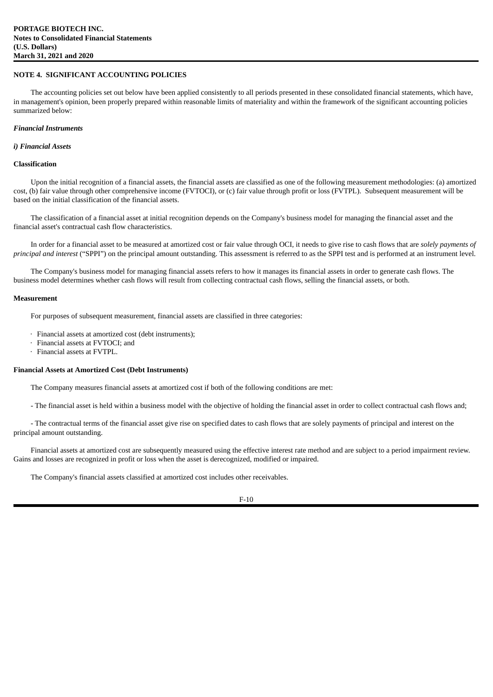#### **NOTE 4. SIGNIFICANT ACCOUNTING POLICIES**

The accounting policies set out below have been applied consistently to all periods presented in these consolidated financial statements, which have, in management's opinion, been properly prepared within reasonable limits of materiality and within the framework of the significant accounting policies summarized below:

#### *Financial Instruments*

#### *i) Financial Assets*

#### **Classification**

Upon the initial recognition of a financial assets, the financial assets are classified as one of the following measurement methodologies: (a) amortized cost, (b) fair value through other comprehensive income (FVTOCI), or (c) fair value through profit or loss (FVTPL). Subsequent measurement will be based on the initial classification of the financial assets.

The classification of a financial asset at initial recognition depends on the Company's business model for managing the financial asset and the financial asset's contractual cash flow characteristics.

In order for a financial asset to be measured at amortized cost or fair value through OCI, it needs to give rise to cash flows that are *solely payments of principal and interest* ("SPPI") on the principal amount outstanding. This assessment is referred to as the SPPI test and is performed at an instrument level.

The Company's business model for managing financial assets refers to how it manages its financial assets in order to generate cash flows. The business model determines whether cash flows will result from collecting contractual cash flows, selling the financial assets, or both.

#### **Measurement**

For purposes of subsequent measurement, financial assets are classified in three categories:

- Financial assets at amortized cost (debt instruments);
- Financial assets at FVTOCI; and

· Financial assets at FVTPL.

#### **Financial Assets at Amortized Cost (Debt Instruments)**

The Company measures financial assets at amortized cost if both of the following conditions are met:

- The financial asset is held within a business model with the objective of holding the financial asset in order to collect contractual cash flows and;

- The contractual terms of the financial asset give rise on specified dates to cash flows that are solely payments of principal and interest on the principal amount outstanding.

Financial assets at amortized cost are subsequently measured using the effective interest rate method and are subject to a period impairment review. Gains and losses are recognized in profit or loss when the asset is derecognized, modified or impaired.

The Company's financial assets classified at amortized cost includes other receivables.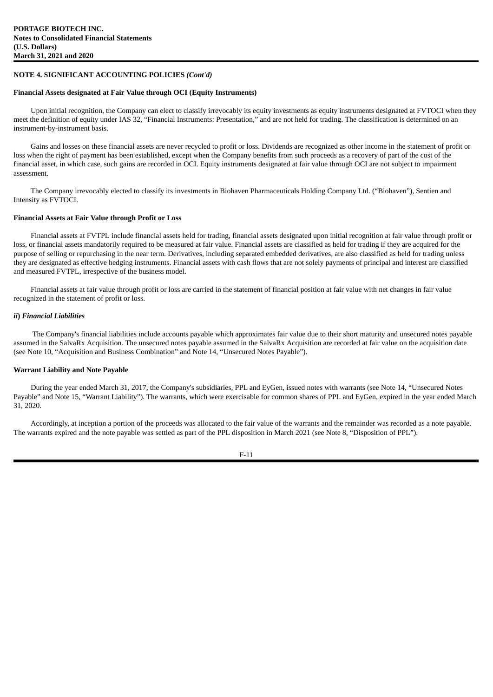#### **Financial Assets designated at Fair Value through OCI (Equity Instruments)**

Upon initial recognition, the Company can elect to classify irrevocably its equity investments as equity instruments designated at FVTOCI when they meet the definition of equity under IAS 32, "Financial Instruments: Presentation," and are not held for trading. The classification is determined on an instrument-by-instrument basis.

Gains and losses on these financial assets are never recycled to profit or loss. Dividends are recognized as other income in the statement of profit or loss when the right of payment has been established, except when the Company benefits from such proceeds as a recovery of part of the cost of the financial asset, in which case, such gains are recorded in OCI. Equity instruments designated at fair value through OCI are not subject to impairment assessment.

The Company irrevocably elected to classify its investments in Biohaven Pharmaceuticals Holding Company Ltd. ("Biohaven"), Sentien and Intensity as FVTOCI.

#### **Financial Assets at Fair Value through Profit or Loss**

Financial assets at FVTPL include financial assets held for trading, financial assets designated upon initial recognition at fair value through profit or loss, or financial assets mandatorily required to be measured at fair value. Financial assets are classified as held for trading if they are acquired for the purpose of selling or repurchasing in the near term. Derivatives, including separated embedded derivatives, are also classified as held for trading unless they are designated as effective hedging instruments. Financial assets with cash flows that are not solely payments of principal and interest are classified and measured FVTPL, irrespective of the business model.

Financial assets at fair value through profit or loss are carried in the statement of financial position at fair value with net changes in fair value recognized in the statement of profit or loss.

#### *ii***)** *Financial Liabilities*

The Company's financial liabilities include accounts payable which approximates fair value due to their short maturity and unsecured notes payable assumed in the SalvaRx Acquisition. The unsecured notes payable assumed in the SalvaRx Acquisition are recorded at fair value on the acquisition date (see Note 10, "Acquisition and Business Combination" and Note 14, "Unsecured Notes Payable").

#### **Warrant Liability and Note Payable**

During the year ended March 31, 2017, the Company's subsidiaries, PPL and EyGen, issued notes with warrants (see Note 14, "Unsecured Notes Payable" and Note 15, "Warrant Liability"). The warrants, which were exercisable for common shares of PPL and EyGen, expired in the year ended March 31, 2020.

Accordingly, at inception a portion of the proceeds was allocated to the fair value of the warrants and the remainder was recorded as a note payable. The warrants expired and the note payable was settled as part of the PPL disposition in March 2021 (see Note 8, "Disposition of PPL").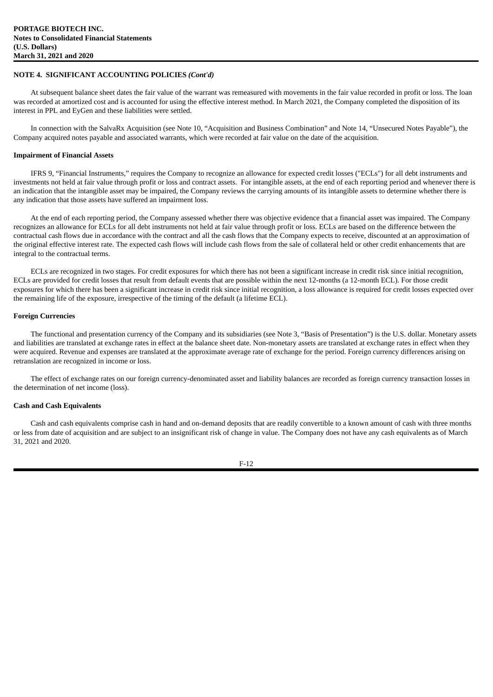At subsequent balance sheet dates the fair value of the warrant was remeasured with movements in the fair value recorded in profit or loss. The loan was recorded at amortized cost and is accounted for using the effective interest method. In March 2021, the Company completed the disposition of its interest in PPL and EyGen and these liabilities were settled.

In connection with the SalvaRx Acquisition (see Note 10, "Acquisition and Business Combination" and Note 14, "Unsecured Notes Payable"), the Company acquired notes payable and associated warrants, which were recorded at fair value on the date of the acquisition.

#### **Impairment of Financial Assets**

IFRS 9, "Financial Instruments," requires the Company to recognize an allowance for expected credit losses ("ECLs") for all debt instruments and investments not held at fair value through profit or loss and contract assets. For intangible assets, at the end of each reporting period and whenever there is an indication that the intangible asset may be impaired, the Company reviews the carrying amounts of its intangible assets to determine whether there is any indication that those assets have suffered an impairment loss.

At the end of each reporting period, the Company assessed whether there was objective evidence that a financial asset was impaired. The Company recognizes an allowance for ECLs for all debt instruments not held at fair value through profit or loss. ECLs are based on the difference between the contractual cash flows due in accordance with the contract and all the cash flows that the Company expects to receive, discounted at an approximation of the original effective interest rate. The expected cash flows will include cash flows from the sale of collateral held or other credit enhancements that are integral to the contractual terms.

ECLs are recognized in two stages. For credit exposures for which there has not been a significant increase in credit risk since initial recognition, ECLs are provided for credit losses that result from default events that are possible within the next 12-months (a 12-month ECL). For those credit exposures for which there has been a significant increase in credit risk since initial recognition, a loss allowance is required for credit losses expected over the remaining life of the exposure, irrespective of the timing of the default (a lifetime ECL).

#### **Foreign Currencies**

The functional and presentation currency of the Company and its subsidiaries (see Note 3, "Basis of Presentation") is the U.S. dollar. Monetary assets and liabilities are translated at exchange rates in effect at the balance sheet date. Non-monetary assets are translated at exchange rates in effect when they were acquired. Revenue and expenses are translated at the approximate average rate of exchange for the period. Foreign currency differences arising on retranslation are recognized in income or loss.

The effect of exchange rates on our foreign currency-denominated asset and liability balances are recorded as foreign currency transaction losses in the determination of net income (loss).

#### **Cash and Cash Equivalents**

Cash and cash equivalents comprise cash in hand and on-demand deposits that are readily convertible to a known amount of cash with three months or less from date of acquisition and are subject to an insignificant risk of change in value. The Company does not have any cash equivalents as of March 31, 2021 and 2020.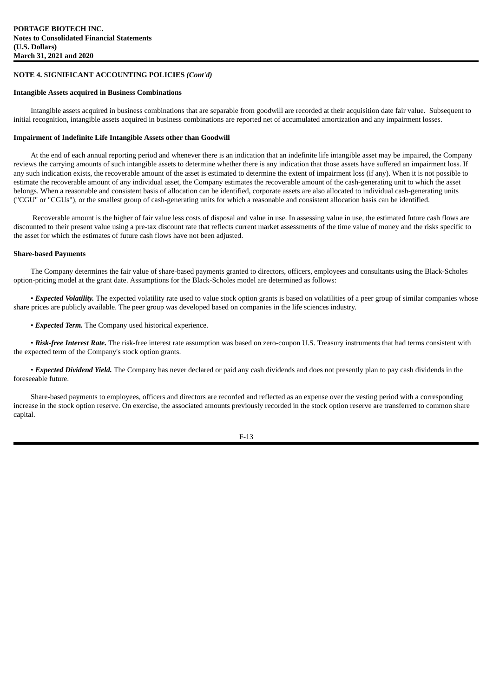#### **Intangible Assets acquired in Business Combinations**

Intangible assets acquired in business combinations that are separable from goodwill are recorded at their acquisition date fair value. Subsequent to initial recognition, intangible assets acquired in business combinations are reported net of accumulated amortization and any impairment losses.

#### **Impairment of Indefinite Life Intangible Assets other than Goodwill**

At the end of each annual reporting period and whenever there is an indication that an indefinite life intangible asset may be impaired, the Company reviews the carrying amounts of such intangible assets to determine whether there is any indication that those assets have suffered an impairment loss. If any such indication exists, the recoverable amount of the asset is estimated to determine the extent of impairment loss (if any). When it is not possible to estimate the recoverable amount of any individual asset, the Company estimates the recoverable amount of the cash-generating unit to which the asset belongs. When a reasonable and consistent basis of allocation can be identified, corporate assets are also allocated to individual cash-generating units ("CGU" or "CGUs"), or the smallest group of cash-generating units for which a reasonable and consistent allocation basis can be identified.

Recoverable amount is the higher of fair value less costs of disposal and value in use. In assessing value in use, the estimated future cash flows are discounted to their present value using a pre-tax discount rate that reflects current market assessments of the time value of money and the risks specific to the asset for which the estimates of future cash flows have not been adjusted.

#### **Share-based Payments**

The Company determines the fair value of share-based payments granted to directors, officers, employees and consultants using the Black-Scholes option-pricing model at the grant date. Assumptions for the Black-Scholes model are determined as follows:

• *Expected Volatility.* The expected volatility rate used to value stock option grants is based on volatilities of a peer group of similar companies whose share prices are publicly available. The peer group was developed based on companies in the life sciences industry.

• *Expected Term.* The Company used historical experience.

• *Risk-free Interest Rate.* The risk-free interest rate assumption was based on zero-coupon U.S. Treasury instruments that had terms consistent with the expected term of the Company's stock option grants.

• *Expected Dividend Yield.* The Company has never declared or paid any cash dividends and does not presently plan to pay cash dividends in the foreseeable future.

Share-based payments to employees, officers and directors are recorded and reflected as an expense over the vesting period with a corresponding increase in the stock option reserve. On exercise, the associated amounts previously recorded in the stock option reserve are transferred to common share capital.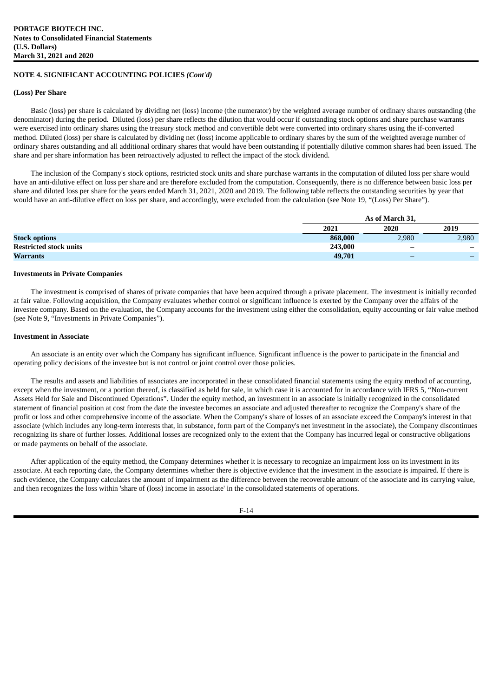#### **(Loss) Per Share**

Basic (loss) per share is calculated by dividing net (loss) income (the numerator) by the weighted average number of ordinary shares outstanding (the denominator) during the period. Diluted (loss) per share reflects the dilution that would occur if outstanding stock options and share purchase warrants were exercised into ordinary shares using the treasury stock method and convertible debt were converted into ordinary shares using the if-converted method. Diluted (loss) per share is calculated by dividing net (loss) income applicable to ordinary shares by the sum of the weighted average number of ordinary shares outstanding and all additional ordinary shares that would have been outstanding if potentially dilutive common shares had been issued. The share and per share information has been retroactively adjusted to reflect the impact of the stock dividend.

The inclusion of the Company's stock options, restricted stock units and share purchase warrants in the computation of diluted loss per share would have an anti-dilutive effect on loss per share and are therefore excluded from the computation. Consequently, there is no difference between basic loss per share and diluted loss per share for the years ended March 31, 2021, 2020 and 2019. The following table reflects the outstanding securities by year that would have an anti-dilutive effect on loss per share, and accordingly, were excluded from the calculation (see Note 19, "(Loss) Per Share").

|                               |         | As of March 31,          |                   |  |  |
|-------------------------------|---------|--------------------------|-------------------|--|--|
|                               | 2021    | 2020                     | 2019              |  |  |
| <b>Stock options</b>          | 868,000 | 2,980                    | 2,980             |  |  |
| <b>Restricted stock units</b> | 243,000 | $\qquad \qquad -$        | $\qquad \qquad -$ |  |  |
| <b>Warrants</b>               | 49,701  | $\overline{\phantom{0}}$ |                   |  |  |

#### **Investments in Private Companies**

The investment is comprised of shares of private companies that have been acquired through a private placement. The investment is initially recorded at fair value. Following acquisition, the Company evaluates whether control or significant influence is exerted by the Company over the affairs of the investee company. Based on the evaluation, the Company accounts for the investment using either the consolidation, equity accounting or fair value method (see Note 9, "Investments in Private Companies").

#### **Investment in Associate**

An associate is an entity over which the Company has significant influence. Significant influence is the power to participate in the financial and operating policy decisions of the investee but is not control or joint control over those policies.

The results and assets and liabilities of associates are incorporated in these consolidated financial statements using the equity method of accounting, except when the investment, or a portion thereof, is classified as held for sale, in which case it is accounted for in accordance with IFRS 5, "Non-current Assets Held for Sale and Discontinued Operations". Under the equity method, an investment in an associate is initially recognized in the consolidated statement of financial position at cost from the date the investee becomes an associate and adjusted thereafter to recognize the Company's share of the profit or loss and other comprehensive income of the associate. When the Company's share of losses of an associate exceed the Company's interest in that associate (which includes any long-term interests that, in substance, form part of the Company's net investment in the associate), the Company discontinues recognizing its share of further losses. Additional losses are recognized only to the extent that the Company has incurred legal or constructive obligations or made payments on behalf of the associate.

After application of the equity method, the Company determines whether it is necessary to recognize an impairment loss on its investment in its associate. At each reporting date, the Company determines whether there is objective evidence that the investment in the associate is impaired. If there is such evidence, the Company calculates the amount of impairment as the difference between the recoverable amount of the associate and its carrying value, and then recognizes the loss within 'share of (loss) income in associate' in the consolidated statements of operations.

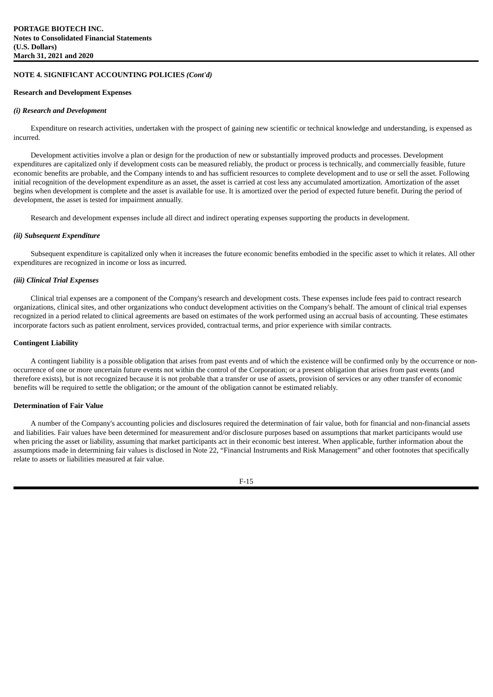#### **Research and Development Expenses**

#### *(i) Research and Development*

Expenditure on research activities, undertaken with the prospect of gaining new scientific or technical knowledge and understanding, is expensed as incurred.

Development activities involve a plan or design for the production of new or substantially improved products and processes. Development expenditures are capitalized only if development costs can be measured reliably, the product or process is technically, and commercially feasible, future economic benefits are probable, and the Company intends to and has sufficient resources to complete development and to use or sell the asset. Following initial recognition of the development expenditure as an asset, the asset is carried at cost less any accumulated amortization. Amortization of the asset begins when development is complete and the asset is available for use. It is amortized over the period of expected future benefit. During the period of development, the asset is tested for impairment annually.

Research and development expenses include all direct and indirect operating expenses supporting the products in development.

#### *(ii) Subsequent Expenditure*

Subsequent expenditure is capitalized only when it increases the future economic benefits embodied in the specific asset to which it relates. All other expenditures are recognized in income or loss as incurred.

#### *(iii) Clinical Trial Expenses*

Clinical trial expenses are a component of the Company's research and development costs. These expenses include fees paid to contract research organizations, clinical sites, and other organizations who conduct development activities on the Company's behalf. The amount of clinical trial expenses recognized in a period related to clinical agreements are based on estimates of the work performed using an accrual basis of accounting. These estimates incorporate factors such as patient enrolment, services provided, contractual terms, and prior experience with similar contracts.

#### **Contingent Liability**

A contingent liability is a possible obligation that arises from past events and of which the existence will be confirmed only by the occurrence or nonoccurrence of one or more uncertain future events not within the control of the Corporation; or a present obligation that arises from past events (and therefore exists), but is not recognized because it is not probable that a transfer or use of assets, provision of services or any other transfer of economic benefits will be required to settle the obligation; or the amount of the obligation cannot be estimated reliably.

#### **Determination of Fair Value**

A number of the Company's accounting policies and disclosures required the determination of fair value, both for financial and non-financial assets and liabilities. Fair values have been determined for measurement and/or disclosure purposes based on assumptions that market participants would use when pricing the asset or liability, assuming that market participants act in their economic best interest. When applicable, further information about the assumptions made in determining fair values is disclosed in Note 22, "Financial Instruments and Risk Management" and other footnotes that specifically relate to assets or liabilities measured at fair value.

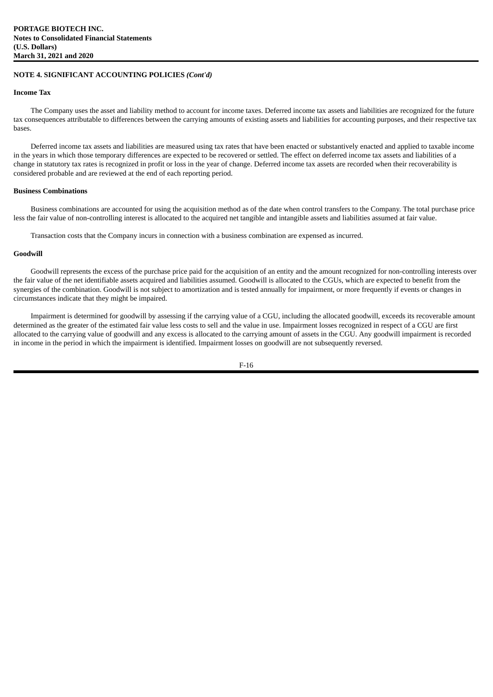#### **Income Tax**

The Company uses the asset and liability method to account for income taxes. Deferred income tax assets and liabilities are recognized for the future tax consequences attributable to differences between the carrying amounts of existing assets and liabilities for accounting purposes, and their respective tax bases.

Deferred income tax assets and liabilities are measured using tax rates that have been enacted or substantively enacted and applied to taxable income in the years in which those temporary differences are expected to be recovered or settled. The effect on deferred income tax assets and liabilities of a change in statutory tax rates is recognized in profit or loss in the year of change. Deferred income tax assets are recorded when their recoverability is considered probable and are reviewed at the end of each reporting period.

#### **Business Combinations**

Business combinations are accounted for using the acquisition method as of the date when control transfers to the Company. The total purchase price less the fair value of non-controlling interest is allocated to the acquired net tangible and intangible assets and liabilities assumed at fair value.

Transaction costs that the Company incurs in connection with a business combination are expensed as incurred.

#### **Goodwill**

Goodwill represents the excess of the purchase price paid for the acquisition of an entity and the amount recognized for non-controlling interests over the fair value of the net identifiable assets acquired and liabilities assumed. Goodwill is allocated to the CGUs, which are expected to benefit from the synergies of the combination. Goodwill is not subject to amortization and is tested annually for impairment, or more frequently if events or changes in circumstances indicate that they might be impaired.

Impairment is determined for goodwill by assessing if the carrying value of a CGU, including the allocated goodwill, exceeds its recoverable amount determined as the greater of the estimated fair value less costs to sell and the value in use. Impairment losses recognized in respect of a CGU are first allocated to the carrying value of goodwill and any excess is allocated to the carrying amount of assets in the CGU. Any goodwill impairment is recorded in income in the period in which the impairment is identified. Impairment losses on goodwill are not subsequently reversed.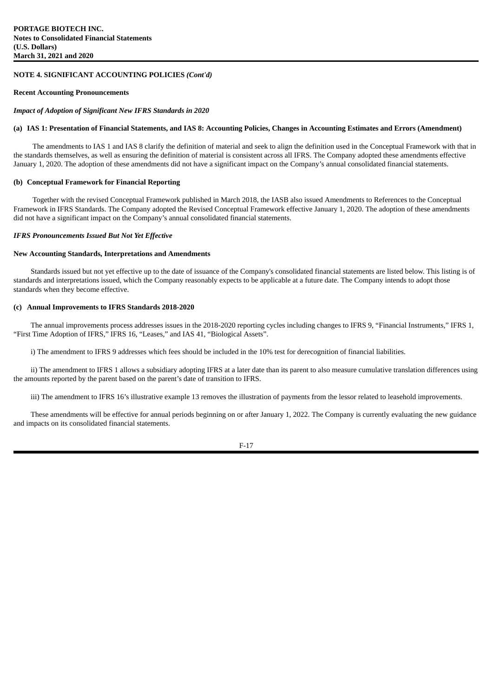#### **Recent Accounting Pronouncements**

#### *Impact of Adoption of Significant New IFRS Standards in 2020*

#### (a) IAS 1: Presentation of Financial Statements, and IAS 8: Accounting Policies, Changes in Accounting Estimates and Errors (Amendment)

The amendments to IAS 1 and IAS 8 clarify the definition of material and seek to align the definition used in the Conceptual Framework with that in the standards themselves, as well as ensuring the definition of material is consistent across all IFRS. The Company adopted these amendments effective January 1, 2020. The adoption of these amendments did not have a significant impact on the Company's annual consolidated financial statements.

#### **(b) Conceptual Framework for Financial Reporting**

Together with the revised Conceptual Framework published in March 2018, the IASB also issued Amendments to References to the Conceptual Framework in IFRS Standards. The Company adopted the Revised Conceptual Framework effective January 1, 2020. The adoption of these amendments did not have a significant impact on the Company's annual consolidated financial statements.

#### *IFRS Pronouncements Issued But Not Yet Effective*

#### **New Accounting Standards, Interpretations and Amendments**

Standards issued but not yet effective up to the date of issuance of the Company's consolidated financial statements are listed below. This listing is of standards and interpretations issued, which the Company reasonably expects to be applicable at a future date. The Company intends to adopt those standards when they become effective.

### **(c) Annual Improvements to IFRS Standards 2018-2020**

The annual improvements process addresses issues in the 2018-2020 reporting cycles including changes to IFRS 9, "Financial Instruments," IFRS 1, "First Time Adoption of IFRS," IFRS 16, "Leases," and IAS 41, "Biological Assets".

i) The amendment to IFRS 9 addresses which fees should be included in the 10% test for derecognition of financial liabilities.

ii) The amendment to IFRS 1 allows a subsidiary adopting IFRS at a later date than its parent to also measure cumulative translation differences using the amounts reported by the parent based on the parent's date of transition to IFRS.

iii) The amendment to IFRS 16's illustrative example 13 removes the illustration of payments from the lessor related to leasehold improvements.

These amendments will be effective for annual periods beginning on or after January 1, 2022. The Company is currently evaluating the new guidance and impacts on its consolidated financial statements.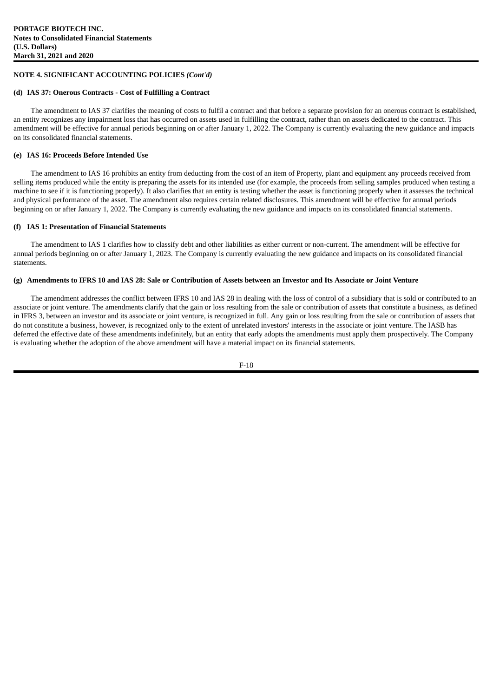#### **(d) IAS 37: Onerous Contracts - Cost of Fulfilling a Contract**

The amendment to IAS 37 clarifies the meaning of costs to fulfil a contract and that before a separate provision for an onerous contract is established, an entity recognizes any impairment loss that has occurred on assets used in fulfilling the contract, rather than on assets dedicated to the contract. This amendment will be effective for annual periods beginning on or after January 1, 2022. The Company is currently evaluating the new guidance and impacts on its consolidated financial statements.

#### **(e) IAS 16: Proceeds Before Intended Use**

The amendment to IAS 16 prohibits an entity from deducting from the cost of an item of Property, plant and equipment any proceeds received from selling items produced while the entity is preparing the assets for its intended use (for example, the proceeds from selling samples produced when testing a machine to see if it is functioning properly). It also clarifies that an entity is testing whether the asset is functioning properly when it assesses the technical and physical performance of the asset. The amendment also requires certain related disclosures. This amendment will be effective for annual periods beginning on or after January 1, 2022. The Company is currently evaluating the new guidance and impacts on its consolidated financial statements.

#### **(f) IAS 1: Presentation of Financial Statements**

The amendment to IAS 1 clarifies how to classify debt and other liabilities as either current or non-current. The amendment will be effective for annual periods beginning on or after January 1, 2023. The Company is currently evaluating the new guidance and impacts on its consolidated financial statements.

#### (g) Amendments to IFRS 10 and IAS 28: Sale or Contribution of Assets between an Investor and Its Associate or Joint Venture

The amendment addresses the conflict between IFRS 10 and IAS 28 in dealing with the loss of control of a subsidiary that is sold or contributed to an associate or joint venture. The amendments clarify that the gain or loss resulting from the sale or contribution of assets that constitute a business, as defined in IFRS 3, between an investor and its associate or joint venture, is recognized in full. Any gain or loss resulting from the sale or contribution of assets that do not constitute a business, however, is recognized only to the extent of unrelated investors' interests in the associate or joint venture. The IASB has deferred the effective date of these amendments indefinitely, but an entity that early adopts the amendments must apply them prospectively. The Company is evaluating whether the adoption of the above amendment will have a material impact on its financial statements.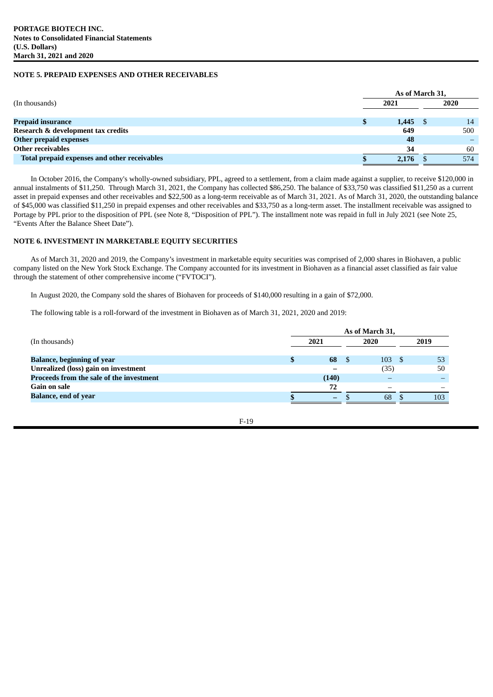### **NOTE 5. PREPAID EXPENSES AND OTHER RECEIVABLES**

| (In thousands)                               |   | As of March 31, |  |      |  |  |  |
|----------------------------------------------|---|-----------------|--|------|--|--|--|
|                                              |   | 2021            |  | 2020 |  |  |  |
|                                              |   |                 |  |      |  |  |  |
| <b>Prepaid insurance</b>                     | D | 1,445           |  | 14   |  |  |  |
| Research & development tax credits           |   | 649             |  | 500  |  |  |  |
| <b>Other prepaid expenses</b>                |   | 48              |  |      |  |  |  |
| Other receivables                            |   | 34              |  | 60   |  |  |  |
| Total prepaid expenses and other receivables |   | 2,176           |  | 574  |  |  |  |

In October 2016, the Company's wholly-owned subsidiary, PPL, agreed to a settlement, from a claim made against a supplier, to receive \$120,000 in annual instalments of \$11,250. Through March 31, 2021, the Company has collected \$86,250. The balance of \$33,750 was classified \$11,250 as a current asset in prepaid expenses and other receivables and \$22,500 as a long-term receivable as of March 31, 2021. As of March 31, 2020, the outstanding balance of \$45,000 was classified \$11,250 in prepaid expenses and other receivables and \$33,750 as a long-term asset. The installment receivable was assigned to Portage by PPL prior to the disposition of PPL (see Note 8, "Disposition of PPL"). The installment note was repaid in full in July 2021 (see Note 25, "Events After the Balance Sheet Date").

### **NOTE 6. INVESTMENT IN MARKETABLE EQUITY SECURITIES**

As of March 31, 2020 and 2019, the Company's investment in marketable equity securities was comprised of 2,000 shares in Biohaven, a public company listed on the New York Stock Exchange. The Company accounted for its investment in Biohaven as a financial asset classified as fair value through the statement of other comprehensive income ("FVTOCI").

In August 2020, the Company sold the shares of Biohaven for proceeds of \$140,000 resulting in a gain of \$72,000.

The following table is a roll-forward of the investment in Biohaven as of March 31, 2021, 2020 and 2019:

|                                             | As of March 31, |       |     |               |  |      |  |
|---------------------------------------------|-----------------|-------|-----|---------------|--|------|--|
| (In thousands)                              |                 | 2021  |     | 2020          |  | 2019 |  |
|                                             |                 |       |     |               |  |      |  |
| <b>Balance, beginning of year</b>           |                 | 68    | - S | $103 \quad $$ |  | 53   |  |
| <b>Unrealized (loss) gain on investment</b> |                 |       |     | (35)          |  | 50   |  |
| Proceeds from the sale of the investment    |                 | (140) |     |               |  |      |  |
| <b>Gain on sale</b>                         |                 | 72    |     |               |  |      |  |
| <b>Balance, end of year</b>                 |                 | $-$   |     | 68            |  | 103  |  |
|                                             |                 |       |     |               |  |      |  |

$$
F-19
$$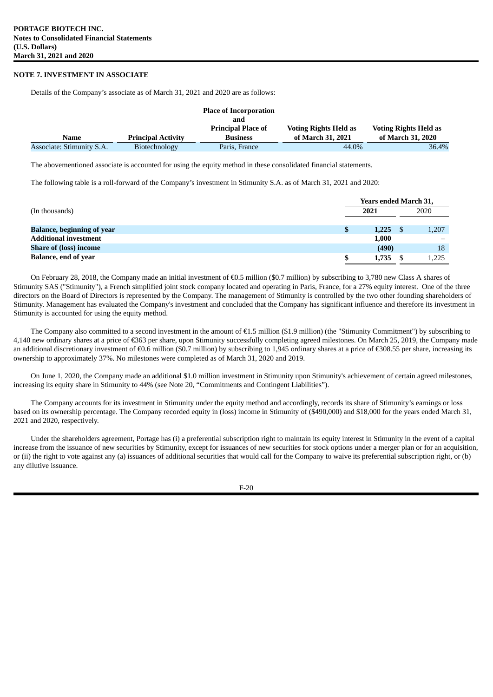#### **NOTE 7. INVESTMENT IN ASSOCIATE**

Details of the Company's associate as of March 31, 2021 and 2020 are as follows:

|                           |                           | <b>Place of Incorporation</b> |                              |                              |
|---------------------------|---------------------------|-------------------------------|------------------------------|------------------------------|
|                           |                           | and                           |                              |                              |
|                           |                           | <b>Principal Place of</b>     | <b>Voting Rights Held as</b> | <b>Voting Rights Held as</b> |
| <b>Name</b>               | <b>Principal Activity</b> | <b>Business</b>               | of March 31, 2021            | of March 31, 2020            |
| Associate: Stimunity S.A. | Biotechnology             | Paris, France                 | 44.0%                        | 36.4%                        |

The abovementioned associate is accounted for using the equity method in these consolidated financial statements.

The following table is a roll-forward of the Company's investment in Stimunity S.A. as of March 31, 2021 and 2020:

|                                   | <b>Years ended March 31,</b> |       |  |       |  |  |
|-----------------------------------|------------------------------|-------|--|-------|--|--|
| (In thousands)                    |                              | 2021  |  | 2020  |  |  |
|                                   |                              |       |  |       |  |  |
| <b>Balance, beginning of year</b> | S                            | 1,225 |  | 1,207 |  |  |
| <b>Additional investment</b>      |                              | 1,000 |  |       |  |  |
| <b>Share of (loss) income</b>     |                              | (490) |  | 18    |  |  |
| <b>Balance, end of year</b>       | S                            |       |  | 1.225 |  |  |

On February 28, 2018, the Company made an initial investment of €0.5 million (\$0.7 million) by subscribing to 3,780 new Class A shares of Stimunity SAS ("Stimunity"), a French simplified joint stock company located and operating in Paris, France, for a 27% equity interest. One of the three directors on the Board of Directors is represented by the Company. The management of Stimunity is controlled by the two other founding shareholders of Stimunity. Management has evaluated the Company's investment and concluded that the Company has significant influence and therefore its investment in Stimunity is accounted for using the equity method.

The Company also committed to a second investment in the amount of  $\epsilon$ 1.5 million (\$1.9 million) (the "Stimunity Commitment") by subscribing to 4,140 new ordinary shares at a price of €363 per share, upon Stimunity successfully completing agreed milestones. On March 25, 2019, the Company made an additional discretionary investment of  $\epsilon$ 0.6 million (\$0.7 million) by subscribing to 1,945 ordinary shares at a price of  $\epsilon$ 308.55 per share, increasing its ownership to approximately 37%. No milestones were completed as of March 31, 2020 and 2019.

On June 1, 2020, the Company made an additional \$1.0 million investment in Stimunity upon Stimunity's achievement of certain agreed milestones, increasing its equity share in Stimunity to 44% (see Note 20, "Commitments and Contingent Liabilities").

The Company accounts for its investment in Stimunity under the equity method and accordingly, records its share of Stimunity's earnings or loss based on its ownership percentage. The Company recorded equity in (loss) income in Stimunity of (\$490,000) and \$18,000 for the years ended March 31, 2021 and 2020, respectively.

Under the shareholders agreement, Portage has (i) a preferential subscription right to maintain its equity interest in Stimunity in the event of a capital increase from the issuance of new securities by Stimunity, except for issuances of new securities for stock options under a merger plan or for an acquisition, or (ii) the right to vote against any (a) issuances of additional securities that would call for the Company to waive its preferential subscription right, or (b) any dilutive issuance.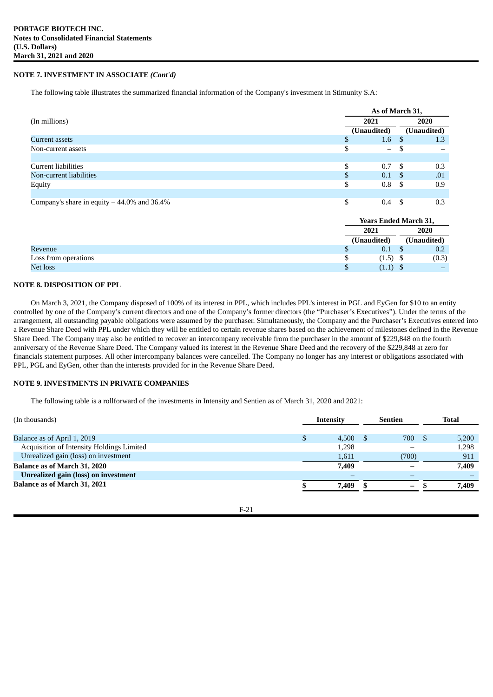### **NOTE 7. INVESTMENT IN ASSOCIATE** *(Cont'd)*

The following table illustrates the summarized financial information of the Company's investment in Stimunity S.A:

|                                               | As of March 31,                |      |             |
|-----------------------------------------------|--------------------------------|------|-------------|
| (In millions)                                 | 2021                           |      | 2020        |
|                                               | (Unaudited)                    |      | (Unaudited) |
| <b>Current assets</b>                         | \$<br>1.6                      | - \$ | 1.3         |
| Non-current assets                            | \$<br>$\overline{\phantom{0}}$ | \$   |             |
|                                               |                                |      |             |
| Current liabilities                           | \$<br>0.7                      | -\$  | 0.3         |
| Non-current liabilities                       | \$<br>$0.1 \quad$ \$           |      | .01         |
| Equity                                        | \$<br>0.8                      | -S   | 0.9         |
|                                               |                                |      |             |
| Company's share in equity $-44.0\%$ and 36.4% | \$<br>$0.4\quad$               |      | 0.3         |
|                                               |                                |      |             |
|                                               | <b>Years Ended March 31,</b>   |      |             |
|                                               | 2021                           |      | 2020        |
|                                               | (Unaudited)                    |      | (Unaudited) |
| Revenue                                       | \$<br>0.1                      | -S   | 0.2         |
| Loss from operations                          | \$<br>$(1.5)$ \$               |      | (0.3)       |
| Net loss                                      | \$<br>$(1.1)$ \$               |      |             |

#### **NOTE 8. DISPOSITION OF PPL**

On March 3, 2021, the Company disposed of 100% of its interest in PPL, which includes PPL's interest in PGL and EyGen for \$10 to an entity controlled by one of the Company's current directors and one of the Company's former directors (the "Purchaser's Executives"). Under the terms of the arrangement, all outstanding payable obligations were assumed by the purchaser. Simultaneously, the Company and the Purchaser's Executives entered into a Revenue Share Deed with PPL under which they will be entitled to certain revenue shares based on the achievement of milestones defined in the Revenue Share Deed. The Company may also be entitled to recover an intercompany receivable from the purchaser in the amount of \$229,848 on the fourth anniversary of the Revenue Share Deed. The Company valued its interest in the Revenue Share Deed and the recovery of the \$229,848 at zero for financials statement purposes. All other intercompany balances were cancelled. The Company no longer has any interest or obligations associated with PPL, PGL and EyGen, other than the interests provided for in the Revenue Share Deed.

#### **NOTE 9. INVESTMENTS IN PRIVATE COMPANIES**

The following table is a rollforward of the investments in Intensity and Sentien as of March 31, 2020 and 2021:

| (In thousands)                              | Intensity |     | Sentien                  |      | Total |
|---------------------------------------------|-----------|-----|--------------------------|------|-------|
| Balance as of April 1, 2019                 | 4,500     | - 8 | 700                      | - \$ | 5,200 |
| Acquisition of Intensity Holdings Limited   | 1,298     |     |                          |      | 1,298 |
| Unrealized gain (loss) on investment        | 1,611     |     | (700)                    |      | 911   |
| <b>Balance as of March 31, 2020</b>         | 7.409     |     |                          |      | 7,409 |
| <b>Unrealized gain (loss) on investment</b> |           |     |                          |      |       |
| <b>Balance as of March 31, 2021</b>         | 7.409     |     | $\overline{\phantom{0}}$ |      | 7.409 |
|                                             |           |     |                          |      |       |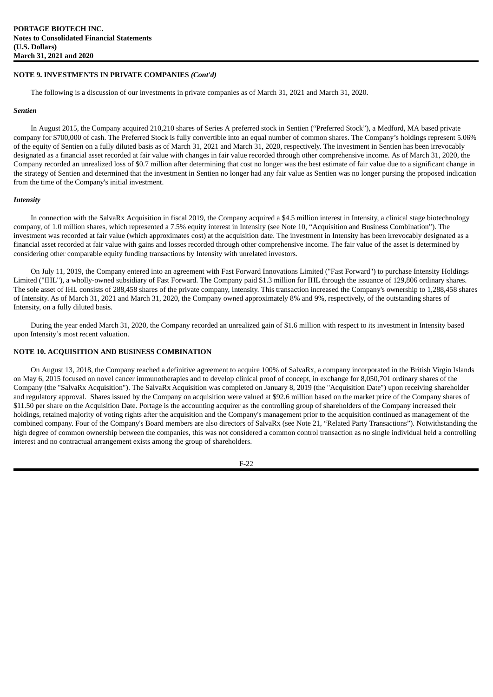#### **NOTE 9. INVESTMENTS IN PRIVATE COMPANIES** *(Cont'd)*

The following is a discussion of our investments in private companies as of March 31, 2021 and March 31, 2020.

#### *Sentien*

In August 2015, the Company acquired 210,210 shares of Series A preferred stock in Sentien ("Preferred Stock"), a Medford, MA based private company for \$700,000 of cash. The Preferred Stock is fully convertible into an equal number of common shares. The Company's holdings represent 5.06% of the equity of Sentien on a fully diluted basis as of March 31, 2021 and March 31, 2020, respectively. The investment in Sentien has been irrevocably designated as a financial asset recorded at fair value with changes in fair value recorded through other comprehensive income. As of March 31, 2020, the Company recorded an unrealized loss of \$0.7 million after determining that cost no longer was the best estimate of fair value due to a significant change in the strategy of Sentien and determined that the investment in Sentien no longer had any fair value as Sentien was no longer pursing the proposed indication from the time of the Company's initial investment.

#### *Intensity*

In connection with the SalvaRx Acquisition in fiscal 2019, the Company acquired a \$4.5 million interest in Intensity, a clinical stage biotechnology company, of 1.0 million shares, which represented a 7.5% equity interest in Intensity (see Note 10, "Acquisition and Business Combination"). The investment was recorded at fair value (which approximates cost) at the acquisition date. The investment in Intensity has been irrevocably designated as a financial asset recorded at fair value with gains and losses recorded through other comprehensive income. The fair value of the asset is determined by considering other comparable equity funding transactions by Intensity with unrelated investors.

On July 11, 2019, the Company entered into an agreement with Fast Forward Innovations Limited ("Fast Forward") to purchase Intensity Holdings Limited ("IHL"), a wholly-owned subsidiary of Fast Forward. The Company paid \$1.3 million for IHL through the issuance of 129,806 ordinary shares. The sole asset of IHL consists of 288,458 shares of the private company, Intensity. This transaction increased the Company's ownership to 1,288,458 shares of Intensity. As of March 31, 2021 and March 31, 2020, the Company owned approximately 8% and 9%, respectively, of the outstanding shares of Intensity, on a fully diluted basis.

During the year ended March 31, 2020, the Company recorded an unrealized gain of \$1.6 million with respect to its investment in Intensity based upon Intensity's most recent valuation.

### **NOTE 10. ACQUISITION AND BUSINESS COMBINATION**

On August 13, 2018, the Company reached a definitive agreement to acquire 100% of SalvaRx, a company incorporated in the British Virgin Islands on May 6, 2015 focused on novel cancer immunotherapies and to develop clinical proof of concept, in exchange for 8,050,701 ordinary shares of the Company (the "SalvaRx Acquisition"). The SalvaRx Acquisition was completed on January 8, 2019 (the "Acquisition Date") upon receiving shareholder and regulatory approval. Shares issued by the Company on acquisition were valued at \$92.6 million based on the market price of the Company shares of \$11.50 per share on the Acquisition Date. Portage is the accounting acquirer as the controlling group of shareholders of the Company increased their holdings, retained majority of voting rights after the acquisition and the Company's management prior to the acquisition continued as management of the combined company. Four of the Company's Board members are also directors of SalvaRx (see Note 21, "Related Party Transactions"). Notwithstanding the high degree of common ownership between the companies, this was not considered a common control transaction as no single individual held a controlling interest and no contractual arrangement exists among the group of shareholders.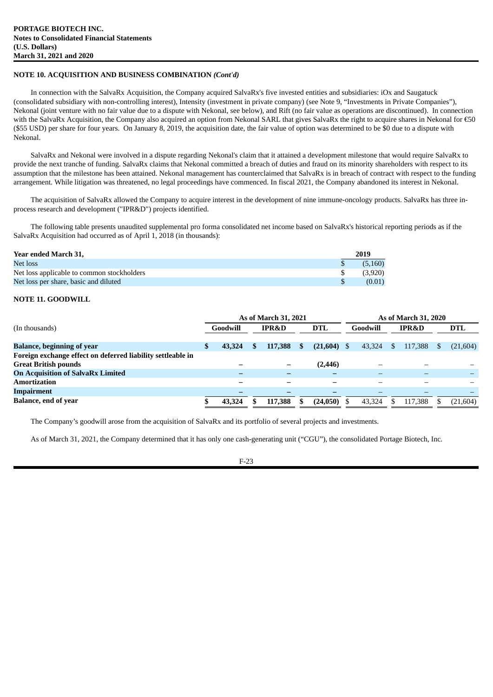#### **NOTE 10. ACQUISITION AND BUSINESS COMBINATION** *(Cont'd)*

In connection with the SalvaRx Acquisition, the Company acquired SalvaRx's five invested entities and subsidiaries: iOx and Saugatuck (consolidated subsidiary with non-controlling interest), Intensity (investment in private company) (see Note 9, "Investments in Private Companies"), Nekonal (joint venture with no fair value due to a dispute with Nekonal, see below), and Rift (no fair value as operations are discontinued). In connection with the SalvaRx Acquisition, the Company also acquired an option from Nekonal SARL that gives SalvaRx the right to acquire shares in Nekonal for €50 (\$55 USD) per share for four years. On January 8, 2019, the acquisition date, the fair value of option was determined to be \$0 due to a dispute with Nekonal.

SalvaRx and Nekonal were involved in a dispute regarding Nekonal's claim that it attained a development milestone that would require SalvaRx to provide the next tranche of funding. SalvaRx claims that Nekonal committed a breach of duties and fraud on its minority shareholders with respect to its assumption that the milestone has been attained. Nekonal management has counterclaimed that SalvaRx is in breach of contract with respect to the funding arrangement. While litigation was threatened, no legal proceedings have commenced. In fiscal 2021, the Company abandoned its interest in Nekonal.

The acquisition of SalvaRx allowed the Company to acquire interest in the development of nine immune-oncology products. SalvaRx has three inprocess research and development ("IPR&D") projects identified.

The following table presents unaudited supplemental pro forma consolidated net income based on SalvaRx's historical reporting periods as if the SalvaRx Acquisition had occurred as of April 1, 2018 (in thousands):

| Year ended March 31,                       | 2019    |
|--------------------------------------------|---------|
| Net loss                                   | (5,160) |
| Net loss applicable to common stockholders | (3.920) |
| Net loss per share, basic and diluted      | (0.01)  |

#### **NOTE 11. GOODWILL**

|                                                             | As of March 31, 2021 |          |  |                  |   |               | As of March 31, 2020 |          |    |                  |   |            |  |
|-------------------------------------------------------------|----------------------|----------|--|------------------|---|---------------|----------------------|----------|----|------------------|---|------------|--|
| (In thousands)                                              |                      | Goodwill |  | <b>IPR&amp;D</b> |   | <b>DTL</b>    |                      | Goodwill |    | <b>IPR&amp;D</b> |   | <b>DTL</b> |  |
|                                                             |                      |          |  |                  |   |               |                      |          |    |                  |   |            |  |
| <b>Balance, beginning of year</b>                           |                      | 43,324   |  | 117,388          | S | $(21,604)$ \$ |                      | 43,324   | S. | 117,388          | S | (21, 604)  |  |
| Foreign exchange effect on deferred liability settleable in |                      |          |  |                  |   |               |                      |          |    |                  |   |            |  |
| <b>Great British pounds</b>                                 |                      |          |  | -                |   | (2, 446)      |                      |          |    | -                |   |            |  |
| <b>On Acquisition of SalvaRx Limited</b>                    |                      | -        |  |                  |   |               |                      |          |    |                  |   |            |  |
| <b>Amortization</b>                                         |                      | -        |  |                  |   | -             |                      |          |    | -                |   |            |  |
| <b>Impairment</b>                                           |                      |          |  |                  |   |               |                      |          |    |                  |   |            |  |
| <b>Balance, end of year</b>                                 |                      | 43,324   |  | 117,388          |   | (24,050)      |                      | 43,324   |    | 117,388          |   | (21, 604)  |  |

The Company's goodwill arose from the acquisition of SalvaRx and its portfolio of several projects and investments.

As of March 31, 2021, the Company determined that it has only one cash-generating unit ("CGU"), the consolidated Portage Biotech, Inc.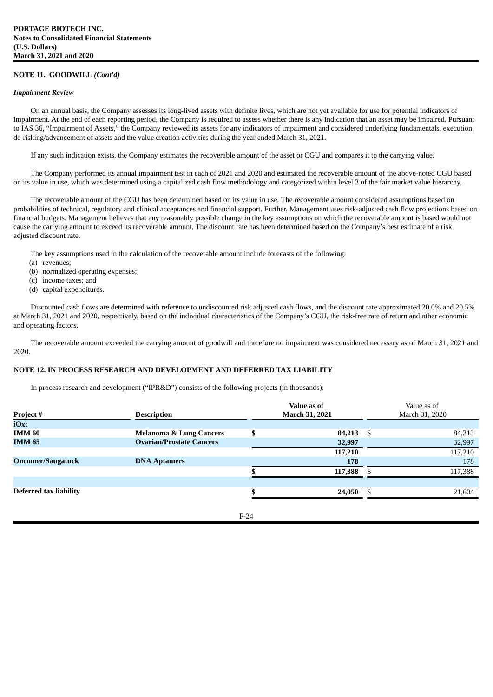### **NOTE 11. GOODWILL** *(Cont'd)*

#### *Impairment Review*

On an annual basis, the Company assesses its long-lived assets with definite lives, which are not yet available for use for potential indicators of impairment. At the end of each reporting period, the Company is required to assess whether there is any indication that an asset may be impaired. Pursuant to IAS 36, "Impairment of Assets," the Company reviewed its assets for any indicators of impairment and considered underlying fundamentals, execution, de-risking/advancement of assets and the value creation activities during the year ended March 31, 2021.

If any such indication exists, the Company estimates the recoverable amount of the asset or CGU and compares it to the carrying value.

The Company performed its annual impairment test in each of 2021 and 2020 and estimated the recoverable amount of the above-noted CGU based on its value in use, which was determined using a capitalized cash flow methodology and categorized within level 3 of the fair market value hierarchy.

The recoverable amount of the CGU has been determined based on its value in use. The recoverable amount considered assumptions based on probabilities of technical, regulatory and clinical acceptances and financial support. Further, Management uses risk-adjusted cash flow projections based on financial budgets. Management believes that any reasonably possible change in the key assumptions on which the recoverable amount is based would not cause the carrying amount to exceed its recoverable amount. The discount rate has been determined based on the Company's best estimate of a risk adjusted discount rate.

The key assumptions used in the calculation of the recoverable amount include forecasts of the following:

- (a) revenues;
- (b) normalized operating expenses;
- (c) income taxes; and
- (d) capital expenditures.

Discounted cash flows are determined with reference to undiscounted risk adjusted cash flows, and the discount rate approximated 20.0% and 20.5% at March 31, 2021 and 2020, respectively, based on the individual characteristics of the Company's CGU, the risk-free rate of return and other economic and operating factors.

The recoverable amount exceeded the carrying amount of goodwill and therefore no impairment was considered necessary as of March 31, 2021 and 2020.

### **NOTE 12. IN PROCESS RESEARCH AND DEVELOPMENT AND DEFERRED TAX LIABILITY**

In process research and development ("IPR&D") consists of the following projects (in thousands):

| Project#                 | <b>Description</b>                 |        | Value as of<br><b>March 31, 2021</b> |      | Value as of<br>March 31, 2020 |
|--------------------------|------------------------------------|--------|--------------------------------------|------|-------------------------------|
| iOx:                     |                                    |        |                                      |      |                               |
| <b>IMM 60</b>            | <b>Melanoma &amp; Lung Cancers</b> | đ<br>J | 84,213                               | - \$ | 84,213                        |
| <b>IMM 65</b>            | <b>Ovarian/Prostate Cancers</b>    |        | 32,997                               |      | 32,997                        |
|                          |                                    |        | 117,210                              |      | 117,210                       |
| <b>Oncomer/Saugatuck</b> | <b>DNA Aptamers</b>                |        | 178                                  |      | 178                           |
|                          |                                    |        | 117,388                              |      | 117,388                       |
|                          |                                    |        |                                      |      |                               |
| Deferred tax liability   |                                    |        | 24,050                               |      | 21,604                        |
|                          |                                    |        |                                      |      |                               |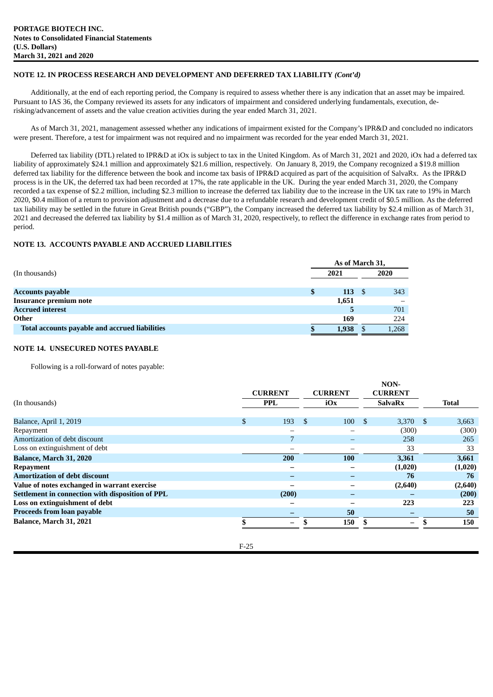### **NOTE 12. IN PROCESS RESEARCH AND DEVELOPMENT AND DEFERRED TAX LIABILITY** *(Cont'd)*

Additionally, at the end of each reporting period, the Company is required to assess whether there is any indication that an asset may be impaired. Pursuant to IAS 36, the Company reviewed its assets for any indicators of impairment and considered underlying fundamentals, execution, derisking/advancement of assets and the value creation activities during the year ended March 31, 2021.

As of March 31, 2021, management assessed whether any indications of impairment existed for the Company's IPR&D and concluded no indicators were present. Therefore, a test for impairment was not required and no impairment was recorded for the year ended March 31, 2021.

Deferred tax liability (DTL) related to IPR&D at iOx is subject to tax in the United Kingdom. As of March 31, 2021 and 2020, iOx had a deferred tax liability of approximately \$24.1 million and approximately \$21.6 million, respectively. On January 8, 2019, the Company recognized a \$19.8 million deferred tax liability for the difference between the book and income tax basis of IPR&D acquired as part of the acquisition of SalvaRx. As the IPR&D process is in the UK, the deferred tax had been recorded at 17%, the rate applicable in the UK. During the year ended March 31, 2020, the Company recorded a tax expense of \$2.2 million, including \$2.3 million to increase the deferred tax liability due to the increase in the UK tax rate to 19% in March 2020, \$0.4 million of a return to provision adjustment and a decrease due to a refundable research and development credit of \$0.5 million. As the deferred tax liability may be settled in the future in Great British pounds ("GBP"), the Company increased the deferred tax liability by \$2.4 million as of March 31, 2021 and decreased the deferred tax liability by \$1.4 million as of March 31, 2020, respectively, to reflect the difference in exchange rates from period to period.

### **NOTE 13. ACCOUNTS PAYABLE AND ACCRUED LIABILITIES**

|                                                       | As of March 31,  |  |       |  |  |  |  |
|-------------------------------------------------------|------------------|--|-------|--|--|--|--|
| (In thousands)                                        | 2021             |  | 2020  |  |  |  |  |
|                                                       |                  |  |       |  |  |  |  |
| <b>Accounts payable</b>                               | \$<br><b>113</b> |  | 343   |  |  |  |  |
| <b>Insurance premium note</b>                         | 1,651            |  |       |  |  |  |  |
| <b>Accrued interest</b>                               |                  |  | 701   |  |  |  |  |
| Other                                                 | 169              |  | 224   |  |  |  |  |
| <b>Total accounts payable and accrued liabilities</b> | \$<br>1,938      |  | 1,268 |  |  |  |  |

#### **NOTE 14. UNSECURED NOTES PAYABLE**

Following is a roll-forward of notes payable:

|                                                  |     |                |    |                          |      | NON-           |              |
|--------------------------------------------------|-----|----------------|----|--------------------------|------|----------------|--------------|
|                                                  |     | <b>CURRENT</b> |    | <b>CURRENT</b>           |      | <b>CURRENT</b> |              |
| (In thousands)                                   |     | <b>PPL</b>     |    | iOx                      |      | <b>SalvaRx</b> | <b>Total</b> |
|                                                  |     |                |    |                          |      |                |              |
| Balance, April 1, 2019                           | \$. | 193            | -S | 100                      | - \$ | $3,370$ \$     | 3,663        |
| Repayment                                        |     |                |    |                          |      | (300)          | (300)        |
| Amortization of debt discount                    |     |                |    |                          |      | 258            | 265          |
| Loss on extinguishment of debt                   |     |                |    |                          |      | 33             | 33           |
| <b>Balance, March 31, 2020</b>                   |     | 200            |    | <b>100</b>               |      | 3,361          | 3,661        |
| <b>Repayment</b>                                 |     |                |    |                          |      | (1,020)        | (1,020)      |
| <b>Amortization of debt discount</b>             |     |                |    |                          |      | 76             | 76           |
| Value of notes exchanged in warrant exercise     |     |                |    |                          |      | (2,640)        | (2,640)      |
| Settlement in connection with disposition of PPL |     | (200)          |    | $\overline{\phantom{0}}$ |      |                | (200)        |
| Loss on extinguishment of debt                   |     |                |    |                          |      | 223            | 223          |
| <b>Proceeds from loan payable</b>                |     |                |    | 50                       |      |                | 50           |
| <b>Balance, March 31, 2021</b>                   |     |                |    | 150                      |      |                | 150          |
|                                                  |     |                |    |                          |      |                |              |

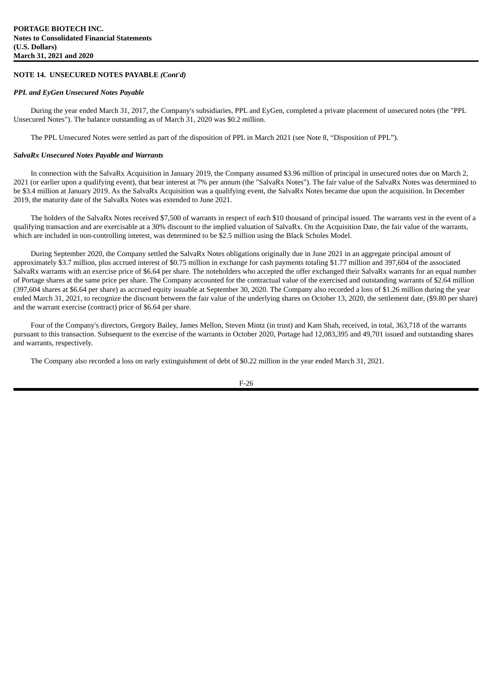#### **NOTE 14. UNSECURED NOTES PAYABLE** *(Cont'd)*

#### *PPL and EyGen Unsecured Notes Payable*

During the year ended March 31, 2017, the Company's subsidiaries, PPL and EyGen, completed a private placement of unsecured notes (the "PPL Unsecured Notes"). The balance outstanding as of March 31, 2020 was \$0.2 million.

The PPL Unsecured Notes were settled as part of the disposition of PPL in March 2021 (see Note 8, "Disposition of PPL").

#### *SalvaRx Unsecured Notes Payable and Warrants*

In connection with the SalvaRx Acquisition in January 2019, the Company assumed \$3.96 million of principal in unsecured notes due on March 2, 2021 (or earlier upon a qualifying event), that bear interest at 7% per annum (the "SalvaRx Notes"). The fair value of the SalvaRx Notes was determined to be \$3.4 million at January 2019. As the SalvaRx Acquisition was a qualifying event, the SalvaRx Notes became due upon the acquisition. In December 2019, the maturity date of the SalvaRx Notes was extended to June 2021.

The holders of the SalvaRx Notes received \$7,500 of warrants in respect of each \$10 thousand of principal issued. The warrants vest in the event of a qualifying transaction and are exercisable at a 30% discount to the implied valuation of SalvaRx. On the Acquisition Date, the fair value of the warrants, which are included in non-controlling interest, was determined to be \$2.5 million using the Black Scholes Model.

During September 2020, the Company settled the SalvaRx Notes obligations originally due in June 2021 in an aggregate principal amount of approximately \$3.7 million, plus accrued interest of \$0.75 million in exchange for cash payments totaling \$1.77 million and 397,604 of the associated SalvaRx warrants with an exercise price of \$6.64 per share. The noteholders who accepted the offer exchanged their SalvaRx warrants for an equal number of Portage shares at the same price per share. The Company accounted for the contractual value of the exercised and outstanding warrants of \$2.64 million (397,604 shares at \$6.64 per share) as accrued equity issuable at September 30, 2020. The Company also recorded a loss of \$1.26 million during the year ended March 31, 2021, to recognize the discount between the fair value of the underlying shares on October 13, 2020, the settlement date, (\$9.80 per share) and the warrant exercise (contract) price of \$6.64 per share.

Four of the Company's directors, Gregory Bailey, James Mellon, Steven Mintz (in trust) and Kam Shah, received, in total, 363,718 of the warrants pursuant to this transaction. Subsequent to the exercise of the warrants in October 2020, Portage had 12,083,395 and 49,701 issued and outstanding shares and warrants, respectively.

The Company also recorded a loss on early extinguishment of debt of \$0.22 million in the year ended March 31, 2021.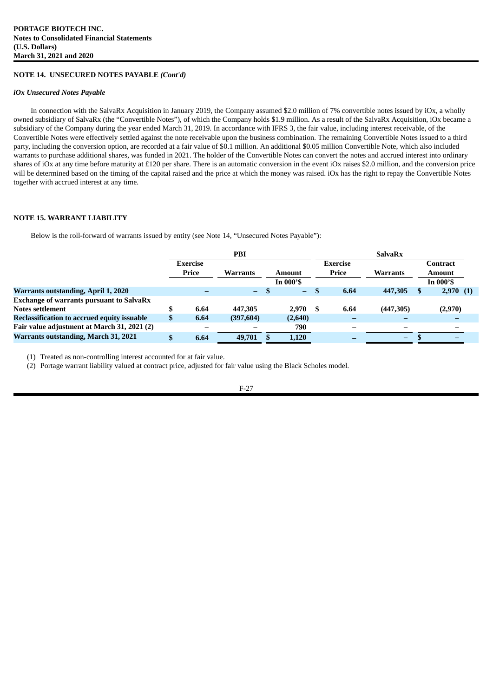### **NOTE 14. UNSECURED NOTES PAYABLE** *(Cont'd)*

#### *iOx Unsecured Notes Payable*

In connection with the SalvaRx Acquisition in January 2019, the Company assumed \$2.0 million of 7% convertible notes issued by iOx, a wholly owned subsidiary of SalvaRx (the "Convertible Notes"), of which the Company holds \$1.9 million. As a result of the SalvaRx Acquisition, iOx became a subsidiary of the Company during the year ended March 31, 2019. In accordance with IFRS 3, the fair value, including interest receivable, of the Convertible Notes were effectively settled against the note receivable upon the business combination. The remaining Convertible Notes issued to a third party, including the conversion option, are recorded at a fair value of \$0.1 million. An additional \$0.05 million Convertible Note, which also included warrants to purchase additional shares, was funded in 2021. The holder of the Convertible Notes can convert the notes and accrued interest into ordinary shares of iOx at any time before maturity at £120 per share. There is an automatic conversion in the event iOx raises \$2.0 million, and the conversion price will be determined based on the timing of the capital raised and the price at which the money was raised. iOx has the right to repay the Convertible Notes together with accrued interest at any time.

### **NOTE 15. WARRANT LIABILITY**

Below is the roll-forward of warrants issued by entity (see Note 14, "Unsecured Notes Payable"):

|                                                    | <b>PBI</b> |                 |            |  |          |  | <b>SalvaRx</b>  |                 |  |               |  |
|----------------------------------------------------|------------|-----------------|------------|--|----------|--|-----------------|-----------------|--|---------------|--|
|                                                    |            | <b>Exercise</b> |            |  |          |  | <b>Exercise</b> |                 |  | Contract      |  |
|                                                    |            | Price           | Warrants   |  | Amount   |  | Price           | <b>Warrants</b> |  | <b>Amount</b> |  |
|                                                    |            |                 |            |  | In 000'S |  |                 |                 |  | In 000'S      |  |
| <b>Warrants outstanding, April 1, 2020</b>         |            |                 | $\sim$ $-$ |  |          |  | 6.64            | 447,305         |  | 2,970(1)      |  |
| <b>Exchange of warrants pursuant to SalvaRx</b>    |            |                 |            |  |          |  |                 |                 |  |               |  |
| <b>Notes settlement</b>                            |            | 6.64            | 447,305    |  | 2,970    |  | 6.64            | (447,305)       |  | (2,970)       |  |
| <b>Reclassification to accrued equity issuable</b> |            | 6.64            | (397,604)  |  | (2,640)  |  |                 |                 |  |               |  |
| Fair value adjustment at March 31, 2021 (2)        |            |                 |            |  | 790      |  |                 |                 |  |               |  |
| Warrants outstanding, March 31, 2021               |            | 6.64            | 49,701     |  | 1,120    |  |                 | $-$             |  |               |  |

(1) Treated as non-controlling interest accounted for at fair value.

(2) Portage warrant liability valued at contract price, adjusted for fair value using the Black Scholes model.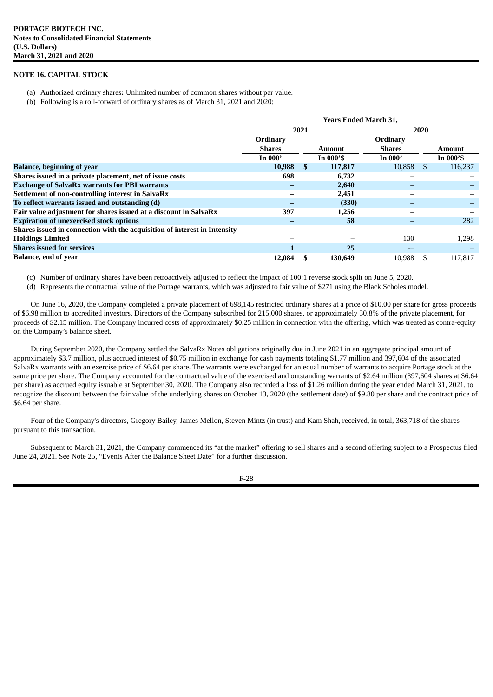#### **NOTE 16. CAPITAL STOCK**

- (a) Authorized ordinary shares**:** Unlimited number of common shares without par value.
- (b) Following is a roll-forward of ordinary shares as of March 31, 2021 and 2020:

|                                                                           | <b>Years Ended March 31.</b> |      |            |                 |              |             |  |
|---------------------------------------------------------------------------|------------------------------|------|------------|-----------------|--------------|-------------|--|
|                                                                           |                              | 2021 |            | 2020            |              |             |  |
|                                                                           | Ordinary                     |      |            | <b>Ordinary</b> |              |             |  |
|                                                                           | <b>Shares</b>                |      | Amount     | <b>Shares</b>   |              | Amount      |  |
|                                                                           | In $000'$                    |      | In $000's$ | In 000'         |              | In $000$ 'S |  |
| <b>Balance, beginning of year</b>                                         | 10,988                       | S    | 117,817    | 10,858          | <sup>S</sup> | 116,237     |  |
| Shares issued in a private placement, net of issue costs                  | 698                          |      | 6,732      |                 |              |             |  |
| <b>Exchange of SalvaRx warrants for PBI warrants</b>                      |                              |      | 2,640      |                 |              |             |  |
| Settlement of non-controlling interest in SalvaRx                         |                              |      | 2,451      |                 |              |             |  |
| To reflect warrants issued and outstanding (d)                            |                              |      | (330)      |                 |              |             |  |
| Fair value adjustment for shares issued at a discount in SalvaRx          | 397                          |      | 1,256      |                 |              |             |  |
| <b>Expiration of unexercised stock options</b>                            |                              |      | 58         |                 |              | 282         |  |
| Shares issued in connection with the acquisition of interest in Intensity |                              |      |            |                 |              |             |  |
| <b>Holdings Limited</b>                                                   |                              |      |            | 130             |              | 1,298       |  |
| <b>Shares issued for services</b>                                         |                              |      | 25         |                 |              |             |  |
| <b>Balance, end of year</b>                                               | 12,084                       |      | 130,649    | 10,988          |              | 117,817     |  |

(c) Number of ordinary shares have been retroactively adjusted to reflect the impact of 100:1 reverse stock split on June 5, 2020.

(d) Represents the contractual value of the Portage warrants, which was adjusted to fair value of \$271 using the Black Scholes model.

On June 16, 2020, the Company completed a private placement of 698,145 restricted ordinary shares at a price of \$10.00 per share for gross proceeds of \$6.98 million to accredited investors. Directors of the Company subscribed for 215,000 shares, or approximately 30.8% of the private placement, for proceeds of \$2.15 million. The Company incurred costs of approximately \$0.25 million in connection with the offering, which was treated as contra-equity on the Company's balance sheet.

During September 2020, the Company settled the SalvaRx Notes obligations originally due in June 2021 in an aggregate principal amount of approximately \$3.7 million, plus accrued interest of \$0.75 million in exchange for cash payments totaling \$1.77 million and 397,604 of the associated SalvaRx warrants with an exercise price of \$6.64 per share. The warrants were exchanged for an equal number of warrants to acquire Portage stock at the same price per share. The Company accounted for the contractual value of the exercised and outstanding warrants of \$2.64 million (397,604 shares at \$6.64 per share) as accrued equity issuable at September 30, 2020. The Company also recorded a loss of \$1.26 million during the year ended March 31, 2021, to recognize the discount between the fair value of the underlying shares on October 13, 2020 (the settlement date) of \$9.80 per share and the contract price of \$6.64 per share.

Four of the Company's directors, Gregory Bailey, James Mellon, Steven Mintz (in trust) and Kam Shah, received, in total, 363,718 of the shares pursuant to this transaction.

Subsequent to March 31, 2021, the Company commenced its "at the market" offering to sell shares and a second offering subject to a Prospectus filed June 24, 2021. See Note 25, "Events After the Balance Sheet Date" for a further discussion.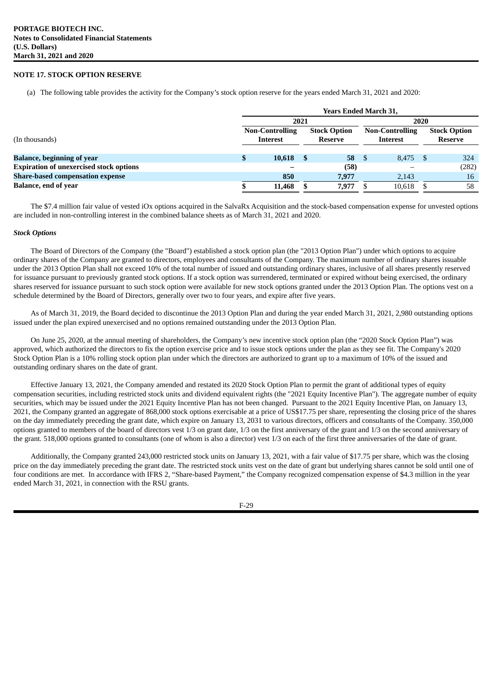### **NOTE 17. STOCK OPTION RESERVE**

(a) The following table provides the activity for the Company's stock option reserve for the years ended March 31, 2021 and 2020:

|                                                | <b>Years Ended March 31,</b> |                        |  |                     |    |                        |      |                     |
|------------------------------------------------|------------------------------|------------------------|--|---------------------|----|------------------------|------|---------------------|
|                                                | 2021                         |                        |  |                     |    |                        | 2020 |                     |
|                                                |                              | <b>Non-Controlling</b> |  | <b>Stock Option</b> |    | <b>Non-Controlling</b> |      | <b>Stock Option</b> |
| (In thousands)                                 |                              | <b>Interest</b>        |  | <b>Reserve</b>      |    | <b>Interest</b>        |      | <b>Reserve</b>      |
|                                                |                              |                        |  |                     |    |                        |      |                     |
| <b>Balance, beginning of year</b>              |                              | 10,618                 |  | 58                  | -S | 8,475                  |      | 324                 |
| <b>Expiration of unexercised stock options</b> |                              |                        |  | (58)                |    |                        |      | (282)               |
| <b>Share-based compensation expense</b>        |                              | 850                    |  | 7,977               |    | 2,143                  |      | 16                  |
| <b>Balance, end of year</b>                    |                              | 11,468                 |  | 7,977               |    | 10,618                 |      | 58                  |

The \$7.4 million fair value of vested iOx options acquired in the SalvaRx Acquisition and the stock-based compensation expense for unvested options are included in non-controlling interest in the combined balance sheets as of March 31, 2021 and 2020.

#### *Stock Options*

The Board of Directors of the Company (the "Board") established a stock option plan (the "2013 Option Plan") under which options to acquire ordinary shares of the Company are granted to directors, employees and consultants of the Company. The maximum number of ordinary shares issuable under the 2013 Option Plan shall not exceed 10% of the total number of issued and outstanding ordinary shares, inclusive of all shares presently reserved for issuance pursuant to previously granted stock options. If a stock option was surrendered, terminated or expired without being exercised, the ordinary shares reserved for issuance pursuant to such stock option were available for new stock options granted under the 2013 Option Plan. The options vest on a schedule determined by the Board of Directors, generally over two to four years, and expire after five years.

As of March 31, 2019, the Board decided to discontinue the 2013 Option Plan and during the year ended March 31, 2021, 2,980 outstanding options issued under the plan expired unexercised and no options remained outstanding under the 2013 Option Plan.

On June 25, 2020, at the annual meeting of shareholders, the Company's new incentive stock option plan (the "2020 Stock Option Plan") was approved, which authorized the directors to fix the option exercise price and to issue stock options under the plan as they see fit. The Company's 2020 Stock Option Plan is a 10% rolling stock option plan under which the directors are authorized to grant up to a maximum of 10% of the issued and outstanding ordinary shares on the date of grant.

Effective January 13, 2021, the Company amended and restated its 2020 Stock Option Plan to permit the grant of additional types of equity compensation securities, including restricted stock units and dividend equivalent rights (the "2021 Equity Incentive Plan"). The aggregate number of equity securities, which may be issued under the 2021 Equity Incentive Plan has not been changed. Pursuant to the 2021 Equity Incentive Plan, on January 13, 2021, the Company granted an aggregate of 868,000 stock options exercisable at a price of US\$17.75 per share, representing the closing price of the shares on the day immediately preceding the grant date, which expire on January 13, 2031 to various directors, officers and consultants of the Company. 350,000 options granted to members of the board of directors vest 1/3 on grant date, 1/3 on the first anniversary of the grant and 1/3 on the second anniversary of the grant. 518,000 options granted to consultants (one of whom is also a director) vest 1/3 on each of the first three anniversaries of the date of grant.

Additionally, the Company granted 243,000 restricted stock units on January 13, 2021, with a fair value of \$17.75 per share, which was the closing price on the day immediately preceding the grant date. The restricted stock units vest on the date of grant but underlying shares cannot be sold until one of four conditions are met. In accordance with IFRS 2, "Share-based Payment," the Company recognized compensation expense of \$4.3 million in the year ended March 31, 2021, in connection with the RSU grants.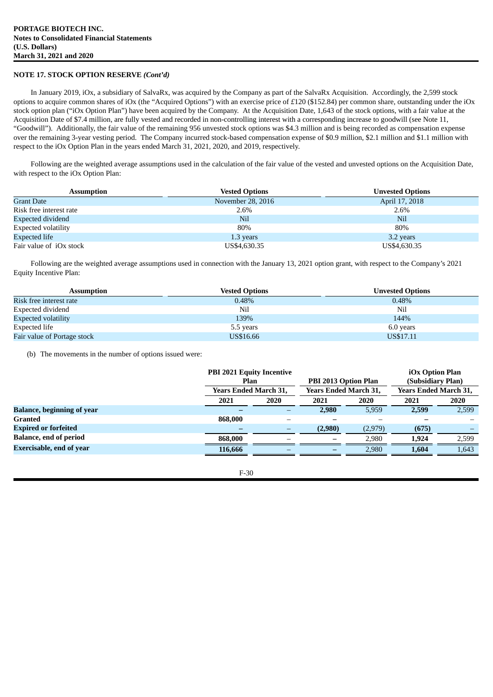### **NOTE 17. STOCK OPTION RESERVE** *(Cont'd)*

In January 2019, iOx, a subsidiary of SalvaRx, was acquired by the Company as part of the SalvaRx Acquisition. Accordingly, the 2,599 stock options to acquire common shares of iOx (the "Acquired Options") with an exercise price of *£*120 (\$152.84) per common share, outstanding under the iOx stock option plan ("iOx Option Plan") have been acquired by the Company. At the Acquisition Date, 1,643 of the stock options, with a fair value at the Acquisition Date of \$7.4 million, are fully vested and recorded in non-controlling interest with a corresponding increase to goodwill (see Note 11, "Goodwill"). Additionally, the fair value of the remaining 956 unvested stock options was \$4.3 million and is being recorded as compensation expense over the remaining 3-year vesting period. The Company incurred stock-based compensation expense of \$0.9 million, \$2.1 million and \$1.1 million with respect to the iOx Option Plan in the years ended March 31, 2021, 2020, and 2019, respectively.

Following are the weighted average assumptions used in the calculation of the fair value of the vested and unvested options on the Acquisition Date, with respect to the iOx Option Plan:

| Assumption              | <b>Vested Options</b> | <b>Unvested Options</b> |
|-------------------------|-----------------------|-------------------------|
| <b>Grant Date</b>       | November 28, 2016     | April 17, 2018          |
| Risk free interest rate | 2.6%                  | 2.6%                    |
| Expected dividend       | <b>Nil</b>            | Nil                     |
| Expected volatility     | 80%                   | 80%                     |
| <b>Expected life</b>    | 1.3 years             | 3.2 years               |
| Fair value of iOx stock | US\$4,630.35          | US\$4,630.35            |

Following are the weighted average assumptions used in connection with the January 13, 2021 option grant, with respect to the Company's 2021 Equity Incentive Plan:

| <b>Assumption</b>           | <b>Vested Options</b> | <b>Unvested Options</b> |
|-----------------------------|-----------------------|-------------------------|
| Risk free interest rate     | 0.48%                 | 0.48%                   |
| Expected dividend           | Nil                   | Nil                     |
| <b>Expected volatility</b>  | 139%                  | 144%                    |
| Expected life               | 5.5 years             | 6.0 years               |
| Fair value of Portage stock | US\$16.66             | US\$17.11               |

(b) The movements in the number of options issued were:

|                                   | <b>PBI 2021 Equity Incentive</b> |                              |                              | iOx Option Plan |                              |       |  |
|-----------------------------------|----------------------------------|------------------------------|------------------------------|-----------------|------------------------------|-------|--|
|                                   |                                  | Plan                         | PBI 2013 Option Plan         |                 | (Subsidiary Plan)            |       |  |
|                                   |                                  | <b>Years Ended March 31,</b> | <b>Years Ended March 31,</b> |                 | <b>Years Ended March 31,</b> |       |  |
|                                   | 2021                             | 2020                         | 2021                         | 2020            | 2021                         | 2020  |  |
| <b>Balance, beginning of year</b> |                                  |                              | 2.980                        | 5.959           | 2,599                        | 2,599 |  |
| <b>Granted</b>                    | 868,000                          |                              |                              |                 |                              |       |  |
| <b>Expired or forfeited</b>       |                                  |                              | (2,980)                      | (2,979)         | (675)                        |       |  |
| <b>Balance, end of period</b>     | 868,000                          |                              |                              | 2.980           | 1,924                        | 2,599 |  |
| <b>Exercisable, end of year</b>   | 116,666                          |                              |                              | 2.980           | 1,604                        | 1,643 |  |
|                                   |                                  |                              |                              |                 |                              |       |  |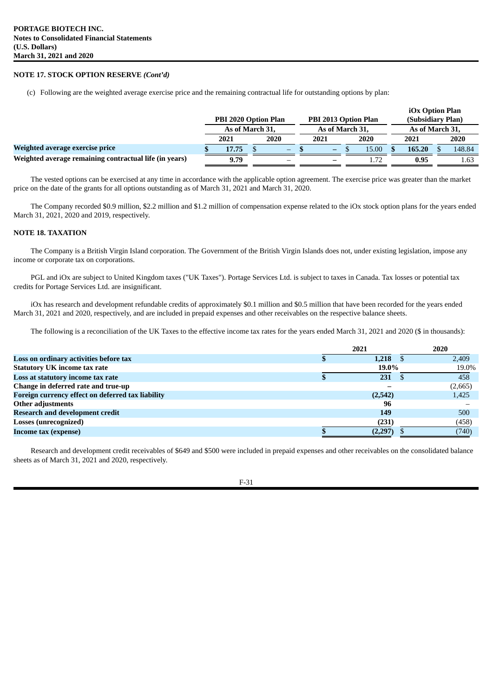#### **NOTE 17. STOCK OPTION RESERVE** *(Cont'd)*

(c) Following are the weighted average exercise price and the remaining contractual life for outstanding options by plan:

|                                                        |                 | PBI 2020 Option Plan |  |                          | PBI 2013 Option Plan     |       | iOx Option Plan<br>(Subsidiary Plan) |                 |        |
|--------------------------------------------------------|-----------------|----------------------|--|--------------------------|--------------------------|-------|--------------------------------------|-----------------|--------|
|                                                        | As of March 31. |                      |  |                          | As of March 31.          |       |                                      | As of March 31. |        |
|                                                        |                 | 2021                 |  | 2020                     | 2021                     | 2020  | 2021                                 |                 | 2020   |
| Weighted average exercise price                        |                 | 17.75                |  | $\qquad \qquad -$        | $\overline{\phantom{0}}$ | 15.00 | 165.20                               |                 | 148.84 |
| Weighted average remaining contractual life (in years) |                 | 9.79                 |  | $\overline{\phantom{0}}$ | $\overline{\phantom{m}}$ | 72. ا | 0.95                                 |                 | 1.63   |

The vested options can be exercised at any time in accordance with the applicable option agreement. The exercise price was greater than the market price on the date of the grants for all options outstanding as of March 31, 2021 and March 31, 2020.

The Company recorded \$0.9 million, \$2.2 million and \$1.2 million of compensation expense related to the iOx stock option plans for the years ended March 31, 2021, 2020 and 2019, respectively.

### **NOTE 18. TAXATION**

The Company is a British Virgin Island corporation. The Government of the British Virgin Islands does not, under existing legislation, impose any income or corporate tax on corporations.

PGL and iOx are subject to United Kingdom taxes ("UK Taxes"). Portage Services Ltd. is subject to taxes in Canada. Tax losses or potential tax credits for Portage Services Ltd. are insignificant.

iOx has research and development refundable credits of approximately \$0.1 million and \$0.5 million that have been recorded for the years ended March 31, 2021 and 2020, respectively, and are included in prepaid expenses and other receivables on the respective balance sheets.

The following is a reconciliation of the UK Taxes to the effective income tax rates for the years ended March 31, 2021 and 2020 (\$ in thousands):

|                                                   | 2021    | 2020    |
|---------------------------------------------------|---------|---------|
| Loss on ordinary activities before tax            | 1,218   | 2,409   |
| <b>Statutory UK income tax rate</b>               | 19.0%   | 19.0%   |
| Loss at statutory income tax rate                 | 231     | 458     |
| Change in deferred rate and true-up               | -       | (2,665) |
| Foreign currency effect on deferred tax liability | (2,542) | 1,425   |
| <b>Other adjustments</b>                          | 96      |         |
| <b>Research and development credit</b>            | 149     | 500     |
| <b>Losses (unrecognized)</b>                      | (231)   | (458)   |
| Income tax (expense)                              | (2,297) | (740)   |

Research and development credit receivables of \$649 and \$500 were included in prepaid expenses and other receivables on the consolidated balance sheets as of March 31, 2021 and 2020, respectively.

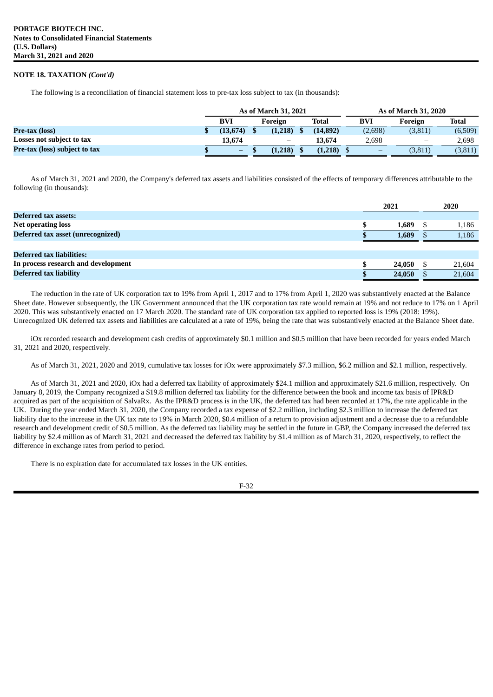### **NOTE 18. TAXATION** *(Cont'd)*

The following is a reconciliation of financial statement loss to pre-tax loss subject to tax (in thousands):

|                               | As of March 31, 2021 |  |                          |  |              | As of March 31, 2020 |         |          |              |  |
|-------------------------------|----------------------|--|--------------------------|--|--------------|----------------------|---------|----------|--------------|--|
|                               | BVI                  |  | Foreign                  |  | <b>Total</b> |                      | BVI     | Foreign  | <b>Total</b> |  |
| Pre-tax (loss)                | (13, 674)            |  | (1,218)                  |  | (14, 892)    |                      | (2,698) | (3, 811) | (6,509)      |  |
| Losses not subject to tax     | 13,674               |  | $\overline{\phantom{m}}$ |  | 13.674       |                      | 2,698   |          | 2,698        |  |
| Pre-tax (loss) subject to tax | $\qquad \qquad$      |  | (1,218)                  |  | (1,218)      |                      |         | (3, 811) | (3,811)      |  |

As of March 31, 2021 and 2020, the Company's deferred tax assets and liabilities consisted of the effects of temporary differences attributable to the following (in thousands):

|                                     | 2021   |          | 2020   |
|-------------------------------------|--------|----------|--------|
| <b>Deferred tax assets:</b>         |        |          |        |
| <b>Net operating loss</b>           | 1.689  |          | 1,186  |
| Deferred tax asset (unrecognized)   | 1.689  | <b>S</b> | 1,186  |
|                                     |        |          |        |
| <b>Deferred tax liabilities:</b>    |        |          |        |
| In process research and development | 24.050 |          | 21,604 |
| <b>Deferred tax liability</b>       | 24,050 |          | 21,604 |

The reduction in the rate of UK corporation tax to 19% from April 1, 2017 and to 17% from April 1, 2020 was substantively enacted at the Balance Sheet date. However subsequently, the UK Government announced that the UK corporation tax rate would remain at 19% and not reduce to 17% on 1 April 2020. This was substantively enacted on 17 March 2020. The standard rate of UK corporation tax applied to reported loss is 19% (2018: 19%). Unrecognized UK deferred tax assets and liabilities are calculated at a rate of 19%, being the rate that was substantively enacted at the Balance Sheet date.

iOx recorded research and development cash credits of approximately \$0.1 million and \$0.5 million that have been recorded for years ended March 31, 2021 and 2020, respectively.

As of March 31, 2021, 2020 and 2019, cumulative tax losses for iOx were approximately \$7.3 million, \$6.2 million and \$2.1 million, respectively.

As of March 31, 2021 and 2020, iOx had a deferred tax liability of approximately \$24.1 million and approximately \$21.6 million, respectively. On January 8, 2019, the Company recognized a \$19.8 million deferred tax liability for the difference between the book and income tax basis of IPR&D acquired as part of the acquisition of SalvaRx. As the IPR&D process is in the UK, the deferred tax had been recorded at 17%, the rate applicable in the UK. During the year ended March 31, 2020, the Company recorded a tax expense of \$2.2 million, including \$2.3 million to increase the deferred tax liability due to the increase in the UK tax rate to 19% in March 2020, \$0.4 million of a return to provision adjustment and a decrease due to a refundable research and development credit of \$0.5 million. As the deferred tax liability may be settled in the future in GBP, the Company increased the deferred tax liability by \$2.4 million as of March 31, 2021 and decreased the deferred tax liability by \$1.4 million as of March 31, 2020, respectively, to reflect the difference in exchange rates from period to period.

There is no expiration date for accumulated tax losses in the UK entities.

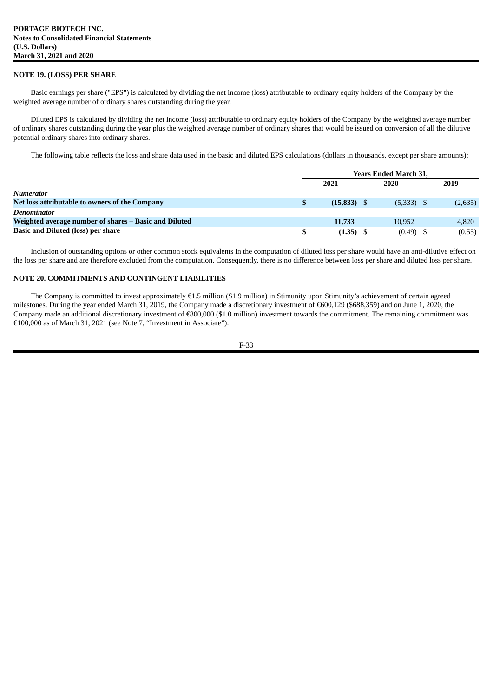#### **NOTE 19. (LOSS) PER SHARE**

Basic earnings per share ("EPS") is calculated by dividing the net income (loss) attributable to ordinary equity holders of the Company by the weighted average number of ordinary shares outstanding during the year.

Diluted EPS is calculated by dividing the net income (loss) attributable to ordinary equity holders of the Company by the weighted average number of ordinary shares outstanding during the year plus the weighted average number of ordinary shares that would be issued on conversion of all the dilutive potential ordinary shares into ordinary shares.

The following table reflects the loss and share data used in the basic and diluted EPS calculations (dollars in thousands, except per share amounts):

|                                                       | <b>Years Ended March 31,</b> |  |         |  |         |  |  |  |
|-------------------------------------------------------|------------------------------|--|---------|--|---------|--|--|--|
|                                                       | 2021<br>2020                 |  |         |  | 2019    |  |  |  |
| <b>Numerator</b>                                      |                              |  |         |  |         |  |  |  |
| Net loss attributable to owners of the Company        | $(15,833)$ \$                |  | (5,333) |  | (2,635) |  |  |  |
| <b>Denominator</b>                                    |                              |  |         |  |         |  |  |  |
| Weighted average number of shares - Basic and Diluted | 11,733                       |  | 10.952  |  | 4.820   |  |  |  |
| <b>Basic and Diluted (loss) per share</b>             | (1.35)                       |  | (0.49)  |  | (0.55)  |  |  |  |

Inclusion of outstanding options or other common stock equivalents in the computation of diluted loss per share would have an anti-dilutive effect on the loss per share and are therefore excluded from the computation. Consequently, there is no difference between loss per share and diluted loss per share.

### **NOTE 20. COMMITMENTS AND CONTINGENT LIABILITIES**

The Company is committed to invest approximately €1.5 million (\$1.9 million) in Stimunity upon Stimunity's achievement of certain agreed milestones. During the year ended March 31, 2019, the Company made a discretionary investment of €600,129 (\$688,359) and on June 1, 2020, the Company made an additional discretionary investment of €800,000 (\$1.0 million) investment towards the commitment. The remaining commitment was €100,000 as of March 31, 2021 (see Note 7, "Investment in Associate").

$$
F-33
$$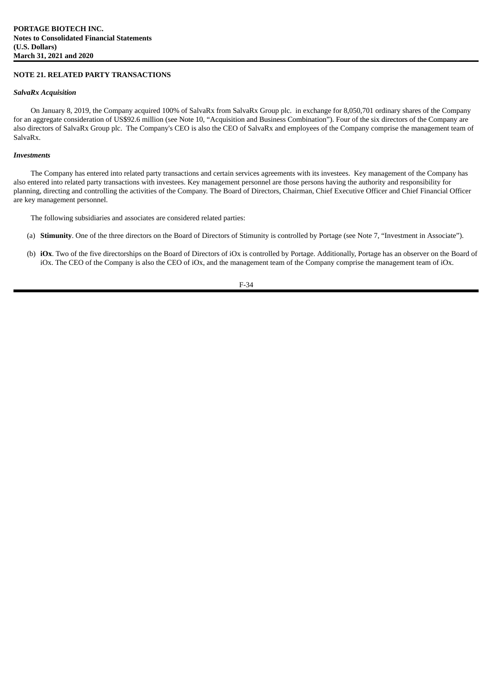#### **NOTE 21. RELATED PARTY TRANSACTIONS**

#### *SalvaRx Acquisition*

On January 8, 2019, the Company acquired 100% of SalvaRx from SalvaRx Group plc. in exchange for 8,050,701 ordinary shares of the Company for an aggregate consideration of US\$92.6 million (see Note 10, "Acquisition and Business Combination"). Four of the six directors of the Company are also directors of SalvaRx Group plc. The Company's CEO is also the CEO of SalvaRx and employees of the Company comprise the management team of SalvaRx.

#### *Investments*

The Company has entered into related party transactions and certain services agreements with its investees. Key management of the Company has also entered into related party transactions with investees. Key management personnel are those persons having the authority and responsibility for planning, directing and controlling the activities of the Company. The Board of Directors, Chairman, Chief Executive Officer and Chief Financial Officer are key management personnel.

The following subsidiaries and associates are considered related parties:

- (a) **Stimunity**. One of the three directors on the Board of Directors of Stimunity is controlled by Portage (see Note 7, "Investment in Associate").
- (b) **iOx**. Two of the five directorships on the Board of Directors of iOx is controlled by Portage. Additionally, Portage has an observer on the Board of iOx. The CEO of the Company is also the CEO of iOx, and the management team of the Company comprise the management team of iOx.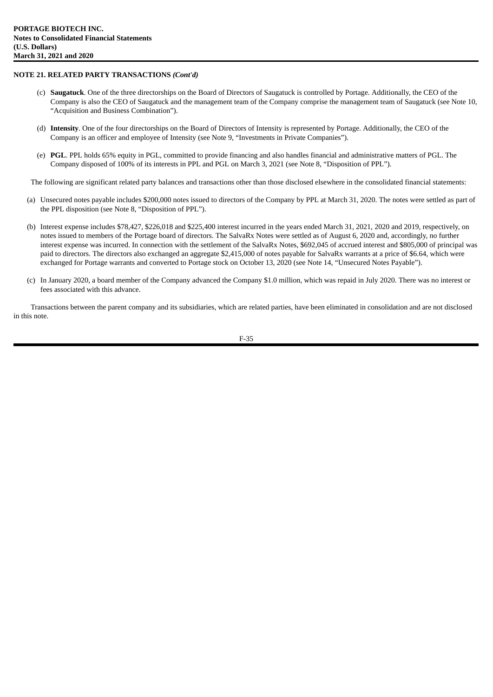#### **NOTE 21. RELATED PARTY TRANSACTIONS** *(Cont'd)*

- (c) **Saugatuck**. One of the three directorships on the Board of Directors of Saugatuck is controlled by Portage. Additionally, the CEO of the Company is also the CEO of Saugatuck and the management team of the Company comprise the management team of Saugatuck (see Note 10, "Acquisition and Business Combination").
- (d) **Intensity**. One of the four directorships on the Board of Directors of Intensity is represented by Portage. Additionally, the CEO of the Company is an officer and employee of Intensity (see Note 9, "Investments in Private Companies").
- (e) **PGL**. PPL holds 65% equity in PGL, committed to provide financing and also handles financial and administrative matters of PGL. The Company disposed of 100% of its interests in PPL and PGL on March 3, 2021 (see Note 8, "Disposition of PPL").

The following are significant related party balances and transactions other than those disclosed elsewhere in the consolidated financial statements:

- (a) Unsecured notes payable includes \$200,000 notes issued to directors of the Company by PPL at March 31, 2020. The notes were settled as part of the PPL disposition (see Note 8, "Disposition of PPL").
- (b) Interest expense includes \$78,427, \$226,018 and \$225,400 interest incurred in the years ended March 31, 2021, 2020 and 2019, respectively, on notes issued to members of the Portage board of directors. The SalvaRx Notes were settled as of August 6, 2020 and, accordingly, no further interest expense was incurred. In connection with the settlement of the SalvaRx Notes, \$692,045 of accrued interest and \$805,000 of principal was paid to directors. The directors also exchanged an aggregate \$2,415,000 of notes payable for SalvaRx warrants at a price of \$6.64, which were exchanged for Portage warrants and converted to Portage stock on October 13, 2020 (see Note 14, "Unsecured Notes Payable").
- (c) In January 2020, a board member of the Company advanced the Company \$1.0 million, which was repaid in July 2020. There was no interest or fees associated with this advance.

Transactions between the parent company and its subsidiaries, which are related parties, have been eliminated in consolidation and are not disclosed in this note.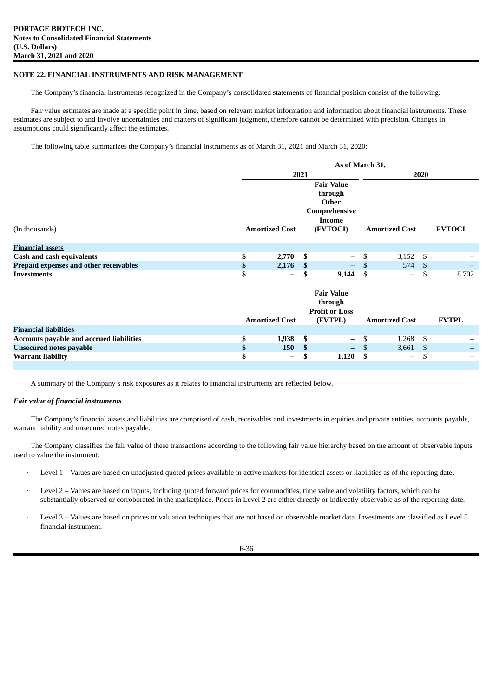#### **NOTE 22. FINANCIAL INSTRUMENTS AND RISK MANAGEMENT**

The Company's financial instruments recognized in the Company's consolidated statements of financial position consist of the following:

Fair value estimates are made at a specific point in time, based on relevant market information and information about financial instruments. These estimates are subject to and involve uncertainties and matters of significant judgment, therefore cannot be determined with precision. Changes in assumptions could significantly affect the estimates.

The following table summarizes the Company's financial instruments as of March 31, 2021 and March 31, 2020:

|                                                 | As of March 31, |                                  |      |                          |     |                          |               |                          |
|-------------------------------------------------|-----------------|----------------------------------|------|--------------------------|-----|--------------------------|---------------|--------------------------|
|                                                 |                 |                                  | 2021 |                          |     |                          | 2020          |                          |
|                                                 |                 |                                  |      | <b>Fair Value</b>        |     |                          |               |                          |
|                                                 |                 |                                  |      | through                  |     |                          |               |                          |
|                                                 |                 |                                  |      | Other                    |     |                          |               |                          |
|                                                 |                 | Comprehensive                    |      |                          |     |                          |               |                          |
|                                                 |                 |                                  |      | Income                   |     |                          |               |                          |
| (In thousands)                                  |                 | <b>Amortized Cost</b>            |      | (FVTOCI)                 |     | <b>Amortized Cost</b>    |               | <b>FVTOCI</b>            |
|                                                 |                 |                                  |      |                          |     |                          |               |                          |
| <b>Financial assets</b>                         |                 |                                  |      |                          |     |                          |               |                          |
| <b>Cash and cash equivalents</b>                | \$              | 2,770                            | \$   |                          | S   | 3,152                    | S.            |                          |
| Prepaid expenses and other receivables          | \$              | 2,176                            | \$   | $-$                      | -S  | 574                      | - \$          |                          |
| <b>Investments</b>                              | \$              | -                                | \$   | 9,144                    | \$  | $\qquad \qquad -$        | \$            | 8,702                    |
|                                                 |                 |                                  |      | <b>Fair Value</b>        |     |                          |               |                          |
|                                                 |                 |                                  |      |                          |     |                          |               |                          |
|                                                 |                 | through<br><b>Profit or Loss</b> |      |                          |     |                          |               |                          |
|                                                 |                 |                                  |      |                          |     |                          |               |                          |
|                                                 |                 | <b>Amortized Cost</b>            |      | (FVTPL)                  |     | <b>Amortized Cost</b>    |               | <b>FVTPL</b>             |
| <b>Financial liabilities</b>                    |                 |                                  |      |                          |     |                          |               |                          |
| <b>Accounts payable and accrued liabilities</b> | \$              | 1,938                            | \$   | $\overline{\phantom{a}}$ | \$  | 1,268                    | S.            |                          |
| <b>Unsecured notes payable</b>                  | \$              | <b>150</b>                       | \$   | $\qquad \qquad -$        | -\$ | 3,661                    | <sup>\$</sup> |                          |
| <b>Warrant liability</b>                        | \$              | -                                | \$   | 1,120                    | \$  | $\overline{\phantom{0}}$ | \$            | $\overline{\phantom{0}}$ |

A summary of the Company's risk exposures as it relates to financial instruments are reflected below.

#### *Fair value of financial instruments*

The Company's financial assets and liabilities are comprised of cash, receivables and investments in equities and private entities, accounts payable, warrant liability and unsecured notes payable.

The Company classifies the fair value of these transactions according to the following fair value hierarchy based on the amount of observable inputs used to value the instrument:

- · Level 1 Values are based on unadjusted quoted prices available in active markets for identical assets or liabilities as of the reporting date.
- Level 2 Values are based on inputs, including quoted forward prices for commodities, time value and volatility factors, which can be substantially observed or corroborated in the marketplace. Prices in Level 2 are either directly or indirectly observable as of the reporting date.
- · Level 3 Values are based on prices or valuation techniques that are not based on observable market data. Investments are classified as Level 3 financial instrument.

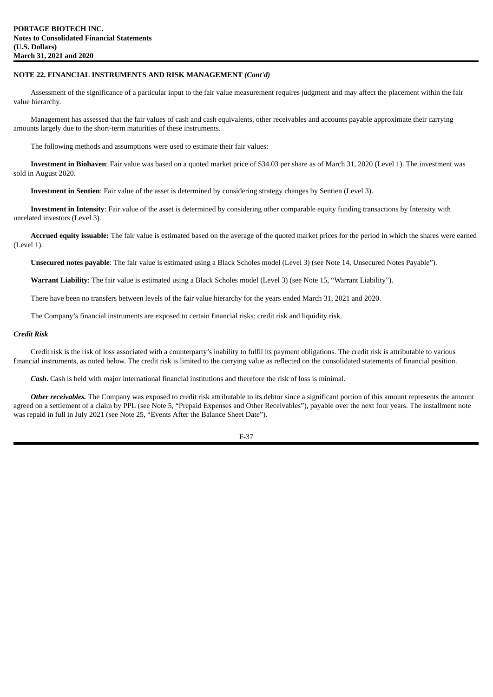#### **NOTE 22. FINANCIAL INSTRUMENTS AND RISK MANAGEMENT** *(Cont'd)*

Assessment of the significance of a particular input to the fair value measurement requires judgment and may affect the placement within the fair value hierarchy.

Management has assessed that the fair values of cash and cash equivalents, other receivables and accounts payable approximate their carrying amounts largely due to the short-term maturities of these instruments.

The following methods and assumptions were used to estimate their fair values:

**Investment in Biohaven**: Fair value was based on a quoted market price of \$34.03 per share as of March 31, 2020 (Level 1). The investment was sold in August 2020.

**Investment in Sentien**: Fair value of the asset is determined by considering strategy changes by Sentien (Level 3).

**Investment in Intensity**: Fair value of the asset is determined by considering other comparable equity funding transactions by Intensity with unrelated investors (Level 3).

**Accrued equity issuable:** The fair value is estimated based on the average of the quoted market prices for the period in which the shares were earned (Level 1).

**Unsecured notes payable**: The fair value is estimated using a Black Scholes model (Level 3) (see Note 14, Unsecured Notes Payable").

**Warrant Liability**: The fair value is estimated using a Black Scholes model (Level 3) (see Note 15, "Warrant Liability").

There have been no transfers between levels of the fair value hierarchy for the years ended March 31, 2021 and 2020.

The Company's financial instruments are exposed to certain financial risks: credit risk and liquidity risk.

#### *Credit Risk*

Credit risk is the risk of loss associated with a counterparty's inability to fulfil its payment obligations. The credit risk is attributable to various financial instruments, as noted below. The credit risk is limited to the carrying value as reflected on the consolidated statements of financial position.

*Cash***.** Cash is held with major international financial institutions and therefore the risk of loss is minimal.

*Other receivables.* The Company was exposed to credit risk attributable to its debtor since a significant portion of this amount represents the amount agreed on a settlement of a claim by PPL (see Note 5, "Prepaid Expenses and Other Receivables"), payable over the next four years. The installment note was repaid in full in July 2021 (see Note 25, "Events After the Balance Sheet Date").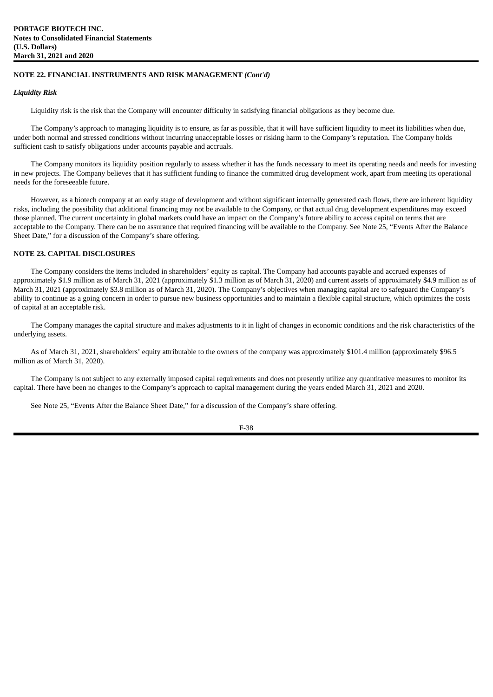### **NOTE 22. FINANCIAL INSTRUMENTS AND RISK MANAGEMENT** *(Cont'd)*

#### *Liquidity Risk*

Liquidity risk is the risk that the Company will encounter difficulty in satisfying financial obligations as they become due.

The Company's approach to managing liquidity is to ensure, as far as possible, that it will have sufficient liquidity to meet its liabilities when due, under both normal and stressed conditions without incurring unacceptable losses or risking harm to the Company's reputation. The Company holds sufficient cash to satisfy obligations under accounts payable and accruals.

The Company monitors its liquidity position regularly to assess whether it has the funds necessary to meet its operating needs and needs for investing in new projects. The Company believes that it has sufficient funding to finance the committed drug development work, apart from meeting its operational needs for the foreseeable future.

However, as a biotech company at an early stage of development and without significant internally generated cash flows, there are inherent liquidity risks, including the possibility that additional financing may not be available to the Company, or that actual drug development expenditures may exceed those planned. The current uncertainty in global markets could have an impact on the Company's future ability to access capital on terms that are acceptable to the Company. There can be no assurance that required financing will be available to the Company. See Note 25, "Events After the Balance Sheet Date," for a discussion of the Company's share offering.

#### **NOTE 23. CAPITAL DISCLOSURES**

The Company considers the items included in shareholders' equity as capital. The Company had accounts payable and accrued expenses of approximately \$1.9 million as of March 31, 2021 (approximately \$1.3 million as of March 31, 2020) and current assets of approximately \$4.9 million as of March 31, 2021 (approximately \$3.8 million as of March 31, 2020). The Company's objectives when managing capital are to safeguard the Company's ability to continue as a going concern in order to pursue new business opportunities and to maintain a flexible capital structure, which optimizes the costs of capital at an acceptable risk.

The Company manages the capital structure and makes adjustments to it in light of changes in economic conditions and the risk characteristics of the underlying assets.

As of March 31, 2021, shareholders' equity attributable to the owners of the company was approximately \$101.4 million (approximately \$96.5 million as of March 31, 2020).

The Company is not subject to any externally imposed capital requirements and does not presently utilize any quantitative measures to monitor its capital. There have been no changes to the Company's approach to capital management during the years ended March 31, 2021 and 2020.

See Note 25, "Events After the Balance Sheet Date," for a discussion of the Company's share offering.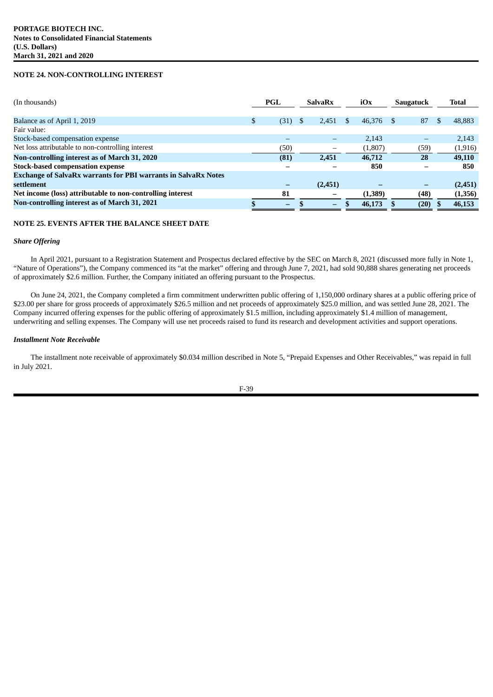### **NOTE 24. NON-CONTROLLING INTEREST**

| (In thousands)                                                        | PGL |      | <b>SalvaRx</b> | iOx             |  | Saugatuck |      | Total         |         |
|-----------------------------------------------------------------------|-----|------|----------------|-----------------|--|-----------|------|---------------|---------|
|                                                                       |     |      |                |                 |  |           |      |               |         |
| Balance as of April 1, 2019                                           | \$  | (31) | S              | 2.451           |  | 46,376    | 87   | <sup>\$</sup> | 48,883  |
| Fair value:                                                           |     |      |                |                 |  |           |      |               |         |
| Stock-based compensation expense                                      |     |      |                |                 |  | 2,143     | -    |               | 2,143   |
| Net loss attributable to non-controlling interest                     |     | (50) |                |                 |  | (1,807)   | (59) |               | (1,916) |
| Non-controlling interest as of March 31, 2020                         |     | (81) |                | 2,451           |  | 46,712    | 28   |               | 49,110  |
| <b>Stock-based compensation expense</b>                               |     |      |                |                 |  | 850       |      |               | 850     |
| <b>Exchange of SalvaRx warrants for PBI warrants in SalvaRx Notes</b> |     |      |                |                 |  |           |      |               |         |
| settlement                                                            |     |      |                | (2,451)         |  |           |      |               | (2,451) |
| Net income (loss) attributable to non-controlling interest            |     | 81   |                | $\qquad \qquad$ |  | (1,389)   | (48) |               | (1,356) |
| Non-controlling interest as of March 31, 2021                         |     | -    |                | -               |  | 46,173    | (20) |               | 46,153  |

### **NOTE 25. EVENTS AFTER THE BALANCE SHEET DATE**

#### *Share Offering*

In April 2021, pursuant to a Registration Statement and Prospectus declared effective by the SEC on March 8, 2021 (discussed more fully in Note 1, "Nature of Operations"), the Company commenced its "at the market" offering and through June 7, 2021, had sold 90,888 shares generating net proceeds of approximately \$2.6 million. Further, the Company initiated an offering pursuant to the Prospectus.

On June 24, 2021, the Company completed a firm commitment underwritten public offering of 1,150,000 ordinary shares at a public offering price of \$23.00 per share for gross proceeds of approximately \$26.5 million and net proceeds of approximately \$25.0 million, and was settled June 28, 2021. The Company incurred offering expenses for the public offering of approximately \$1.5 million, including approximately \$1.4 million of management, underwriting and selling expenses. The Company will use net proceeds raised to fund its research and development activities and support operations.

### *Installment Note Receivable*

The installment note receivable of approximately \$0.034 million described in Note 5, "Prepaid Expenses and Other Receivables," was repaid in full in July 2021.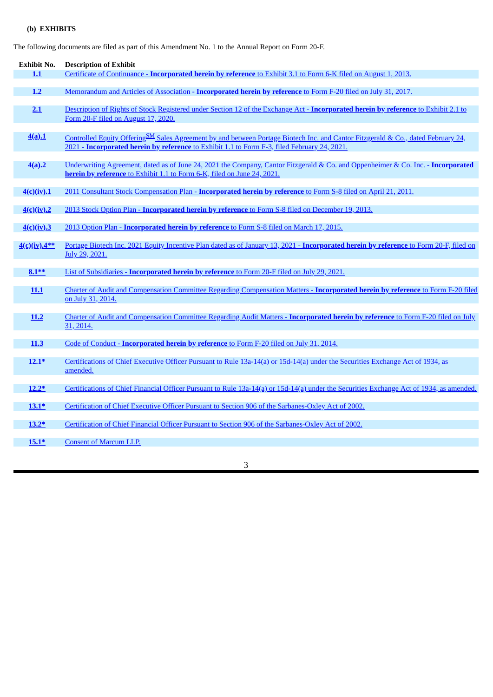## **(b) EXHIBITS**

The following documents are filed as part of this Amendment No. 1 to the Annual Report on Form 20-F.

| <b>Exhibit No.</b>       | <b>Description of Exhibit</b>                                                                                                                                                                                                                |
|--------------------------|----------------------------------------------------------------------------------------------------------------------------------------------------------------------------------------------------------------------------------------------|
| 1.1                      | Certificate of Continuance - Incorporated herein by reference to Exhibit 3.1 to Form 6-K filed on August 1, 2013.                                                                                                                            |
|                          |                                                                                                                                                                                                                                              |
| 1.2                      | <u>Memorandum and Articles of Association - Incorporated herein by reference to Form F-20 filed on July 31, 2017.</u>                                                                                                                        |
| 2.1                      | Description of Rights of Stock Registered under Section 12 of the Exchange Act - Incorporated herein by reference to Exhibit 2.1 to<br>Form 20-F filed on August 17, 2020.                                                                   |
| 4(a).1                   | Controlled Equity Offering <sup>SM</sup> Sales Agreement by and between Portage Biotech Inc. and Cantor Fitzgerald & Co., dated February 24,<br>2021 - Incorporated herein by reference to Exhibit 1.1 to Form F-3, filed February 24, 2021. |
| 4(a).2                   | Underwriting Agreement, dated as of June 24, 2021 the Company, Cantor Fitzgerald & Co. and Oppenheimer & Co. Inc. - Incorporated<br>herein by reference to Exhibit 1.1 to Form 6-K, filed on June 24, 2021.                                  |
| 4(c)(iv).1               | 2011 Consultant Stock Compensation Plan - Incorporated herein by reference to Form S-8 filed on April 21, 2011.                                                                                                                              |
|                          |                                                                                                                                                                                                                                              |
| 4(c)(iv).2               | 2013 Stock Option Plan - Incorporated herein by reference to Form S-8 filed on December 19, 2013.                                                                                                                                            |
|                          |                                                                                                                                                                                                                                              |
| $\underline{4(c)(iv).3}$ | 2013 Option Plan - Incorporated herein by reference to Form S-8 filed on March 17, 2015.                                                                                                                                                     |
| $4(c)(iv).4**$           | Portage Biotech Inc. 2021 Equity Incentive Plan dated as of January 13, 2021 - Incorporated herein by reference to Form 20-F, filed on<br>July 29, 2021.                                                                                     |
| $8.1***$                 | List of Subsidiaries - Incorporated herein by reference to Form 20-F filed on July 29, 2021.                                                                                                                                                 |
|                          |                                                                                                                                                                                                                                              |
| <b>11.1</b>              | Charter of Audit and Compensation Committee Regarding Compensation Matters - Incorporated herein by reference to Form F-20 filed<br>on July 31, 2014.                                                                                        |
| 11.2                     | Charter of Audit and Compensation Committee Regarding Audit Matters - Incorporated herein by reference to Form F-20 filed on July<br>31, 2014.                                                                                               |
| 11.3                     | Code of Conduct - Incorporated herein by reference to Form F-20 filed on July 31, 2014.                                                                                                                                                      |
|                          |                                                                                                                                                                                                                                              |
| $12.1*$                  | Certifications of Chief Executive Officer Pursuant to Rule 13a-14(a) or 15d-14(a) under the Securities Exchange Act of 1934, as<br>amended.                                                                                                  |
| $12.2*$                  | Certifications of Chief Financial Officer Pursuant to Rule 13a-14(a) or 15d-14(a) under the Securities Exchange Act of 1934, as amended.                                                                                                     |
| $13.1*$                  | Certification of Chief Executive Officer Pursuant to Section 906 of the Sarbanes-Oxley Act of 2002.                                                                                                                                          |
|                          |                                                                                                                                                                                                                                              |
| $13.2*$                  | Certification of Chief Financial Officer Pursuant to Section 906 of the Sarbanes-Oxley Act of 2002.                                                                                                                                          |
| $15.1*$                  | <b>Consent of Marcum LLP.</b>                                                                                                                                                                                                                |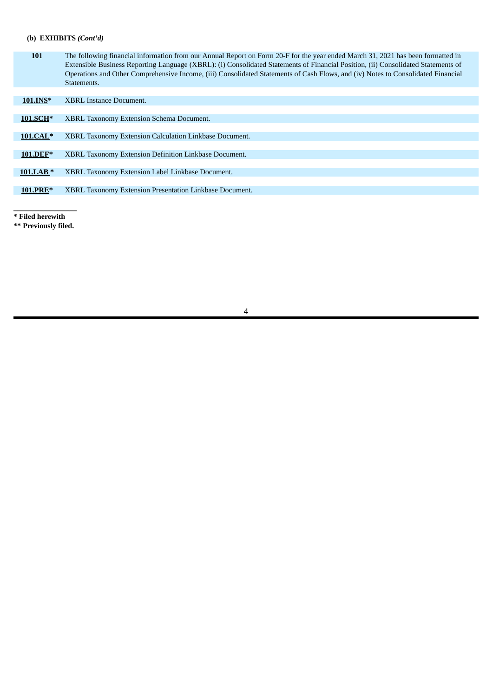## **(b) EXHIBITS** *(Cont'd)*

| 101        | The following financial information from our Annual Report on Form 20-F for the year ended March 31, 2021 has been formatted in<br>Extensible Business Reporting Language (XBRL): (i) Consolidated Statements of Financial Position, (ii) Consolidated Statements of<br>Operations and Other Comprehensive Income, (iii) Consolidated Statements of Cash Flows, and (iv) Notes to Consolidated Financial<br>Statements. |
|------------|-------------------------------------------------------------------------------------------------------------------------------------------------------------------------------------------------------------------------------------------------------------------------------------------------------------------------------------------------------------------------------------------------------------------------|
|            |                                                                                                                                                                                                                                                                                                                                                                                                                         |
| 101.INS*   | <b>XBRL Instance Document.</b>                                                                                                                                                                                                                                                                                                                                                                                          |
|            |                                                                                                                                                                                                                                                                                                                                                                                                                         |
| 101.SCH*   | XBRL Taxonomy Extension Schema Document.                                                                                                                                                                                                                                                                                                                                                                                |
|            |                                                                                                                                                                                                                                                                                                                                                                                                                         |
| 101.CAL*   | XBRL Taxonomy Extension Calculation Linkbase Document.                                                                                                                                                                                                                                                                                                                                                                  |
|            |                                                                                                                                                                                                                                                                                                                                                                                                                         |
| 101.DEF*   | XBRL Taxonomy Extension Definition Linkbase Document.                                                                                                                                                                                                                                                                                                                                                                   |
|            |                                                                                                                                                                                                                                                                                                                                                                                                                         |
| $101.LAB*$ | XBRL Taxonomy Extension Label Linkbase Document.                                                                                                                                                                                                                                                                                                                                                                        |
|            |                                                                                                                                                                                                                                                                                                                                                                                                                         |
| 101.PRE*   | XBRL Taxonomy Extension Presentation Linkbase Document.                                                                                                                                                                                                                                                                                                                                                                 |
|            |                                                                                                                                                                                                                                                                                                                                                                                                                         |

**\_\_\_\_\_\_\_\_\_\_\_\_\_\_\_\_\_ \* Filed herewith**

**\*\* Previously filed.**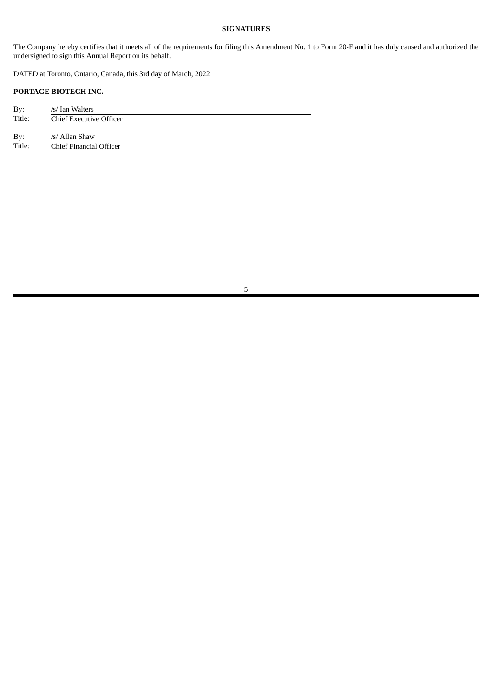### **SIGNATURES**

The Company hereby certifies that it meets all of the requirements for filing this Amendment No. 1 to Form 20-F and it has duly caused and authorized the undersigned to sign this Annual Report on its behalf.

DATED at Toronto, Ontario, Canada, this 3rd day of March, 2022

### **PORTAGE BIOTECH INC.**

| By:    | /s/ Ian Walters                |  |
|--------|--------------------------------|--|
| Title: | <b>Chief Executive Officer</b> |  |
| By:    | /s/ Allan Shaw                 |  |
| Title: | Chief Financial Officer        |  |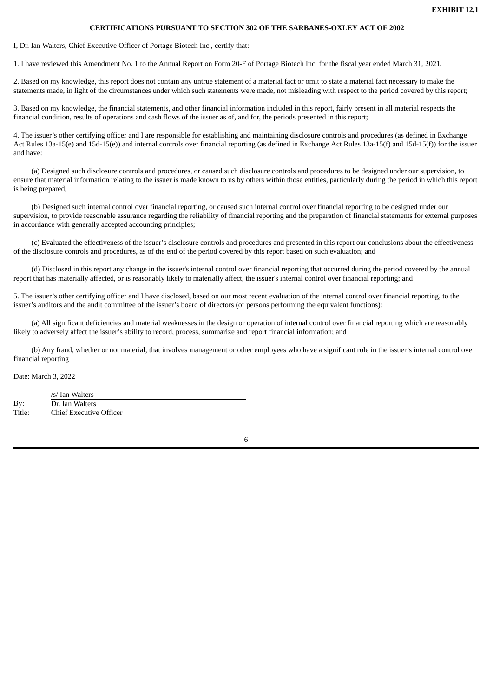### **CERTIFICATIONS PURSUANT TO SECTION 302 OF THE SARBANES-OXLEY ACT OF 2002**

<span id="page-50-0"></span>I, Dr. Ian Walters, Chief Executive Officer of Portage Biotech Inc., certify that:

1. I have reviewed this Amendment No. 1 to the Annual Report on Form 20-F of Portage Biotech Inc. for the fiscal year ended March 31, 2021.

2. Based on my knowledge, this report does not contain any untrue statement of a material fact or omit to state a material fact necessary to make the statements made, in light of the circumstances under which such statements were made, not misleading with respect to the period covered by this report;

3. Based on my knowledge, the financial statements, and other financial information included in this report, fairly present in all material respects the financial condition, results of operations and cash flows of the issuer as of, and for, the periods presented in this report;

4. The issuer's other certifying officer and I are responsible for establishing and maintaining disclosure controls and procedures (as defined in Exchange Act Rules 13a-15(e) and 15d-15(e)) and internal controls over financial reporting (as defined in Exchange Act Rules 13a-15(f) and 15d-15(f)) for the issuer and have:

(a) Designed such disclosure controls and procedures, or caused such disclosure controls and procedures to be designed under our supervision, to ensure that material information relating to the issuer is made known to us by others within those entities, particularly during the period in which this report is being prepared;

(b) Designed such internal control over financial reporting, or caused such internal control over financial reporting to be designed under our supervision, to provide reasonable assurance regarding the reliability of financial reporting and the preparation of financial statements for external purposes in accordance with generally accepted accounting principles;

(c) Evaluated the effectiveness of the issuer's disclosure controls and procedures and presented in this report our conclusions about the effectiveness of the disclosure controls and procedures, as of the end of the period covered by this report based on such evaluation; and

(d) Disclosed in this report any change in the issuer's internal control over financial reporting that occurred during the period covered by the annual report that has materially affected, or is reasonably likely to materially affect, the issuer's internal control over financial reporting; and

5. The issuer's other certifying officer and I have disclosed, based on our most recent evaluation of the internal control over financial reporting, to the issuer's auditors and the audit committee of the issuer's board of directors (or persons performing the equivalent functions):

(a) All significant deficiencies and material weaknesses in the design or operation of internal control over financial reporting which are reasonably likely to adversely affect the issuer's ability to record, process, summarize and report financial information; and

(b) Any fraud, whether or not material, that involves management or other employees who have a significant role in the issuer's internal control over financial reporting

Date: March 3, 2022

/s/ Ian Walters By: Dr. Ian Walters Title: Chief Executive Officer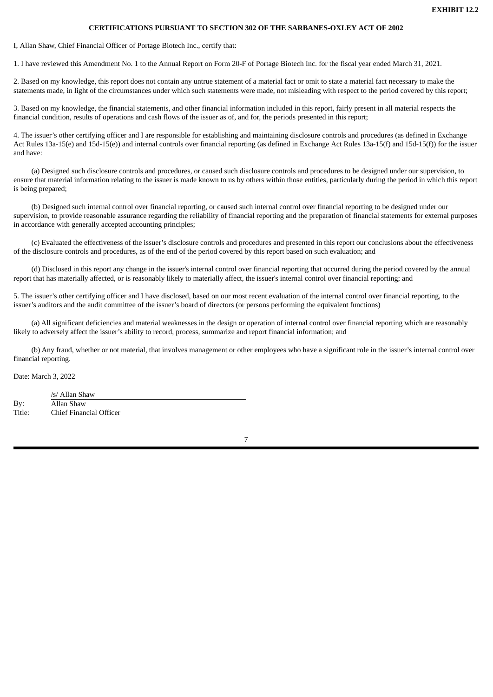### **CERTIFICATIONS PURSUANT TO SECTION 302 OF THE SARBANES-OXLEY ACT OF 2002**

<span id="page-51-0"></span>I, Allan Shaw, Chief Financial Officer of Portage Biotech Inc., certify that:

1. I have reviewed this Amendment No. 1 to the Annual Report on Form 20-F of Portage Biotech Inc. for the fiscal year ended March 31, 2021.

2. Based on my knowledge, this report does not contain any untrue statement of a material fact or omit to state a material fact necessary to make the statements made, in light of the circumstances under which such statements were made, not misleading with respect to the period covered by this report;

3. Based on my knowledge, the financial statements, and other financial information included in this report, fairly present in all material respects the financial condition, results of operations and cash flows of the issuer as of, and for, the periods presented in this report;

4. The issuer's other certifying officer and I are responsible for establishing and maintaining disclosure controls and procedures (as defined in Exchange Act Rules 13a-15(e) and 15d-15(e)) and internal controls over financial reporting (as defined in Exchange Act Rules 13a-15(f) and 15d-15(f)) for the issuer and have:

(a) Designed such disclosure controls and procedures, or caused such disclosure controls and procedures to be designed under our supervision, to ensure that material information relating to the issuer is made known to us by others within those entities, particularly during the period in which this report is being prepared;

(b) Designed such internal control over financial reporting, or caused such internal control over financial reporting to be designed under our supervision, to provide reasonable assurance regarding the reliability of financial reporting and the preparation of financial statements for external purposes in accordance with generally accepted accounting principles;

(c) Evaluated the effectiveness of the issuer's disclosure controls and procedures and presented in this report our conclusions about the effectiveness of the disclosure controls and procedures, as of the end of the period covered by this report based on such evaluation; and

(d) Disclosed in this report any change in the issuer's internal control over financial reporting that occurred during the period covered by the annual report that has materially affected, or is reasonably likely to materially affect, the issuer's internal control over financial reporting; and

5. The issuer's other certifying officer and I have disclosed, based on our most recent evaluation of the internal control over financial reporting, to the issuer's auditors and the audit committee of the issuer's board of directors (or persons performing the equivalent functions)

(a) All significant deficiencies and material weaknesses in the design or operation of internal control over financial reporting which are reasonably likely to adversely affect the issuer's ability to record, process, summarize and report financial information; and

(b) Any fraud, whether or not material, that involves management or other employees who have a significant role in the issuer's internal control over financial reporting.

Date: March 3, 2022

/s/ Allan Shaw By: Allan Shaw Title: Chief Financial Officer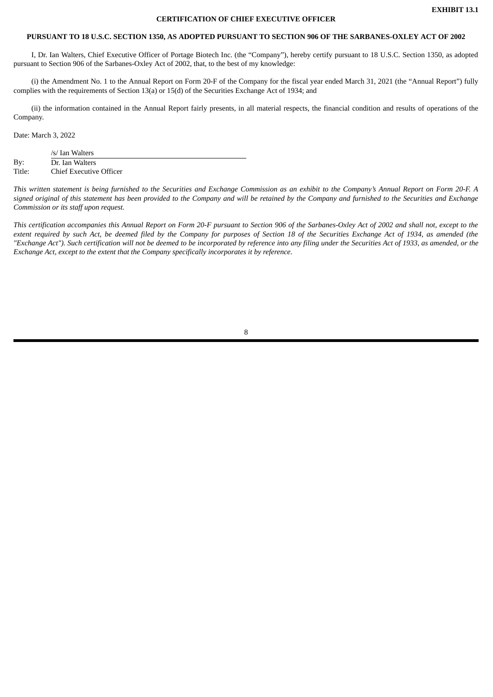#### **CERTIFICATION OF CHIEF EXECUTIVE OFFICER**

### <span id="page-52-0"></span>PURSUANT TO 18 U.S.C. SECTION 1350, AS ADOPTED PURSUANT TO SECTION 906 OF THE SARBANES-OXLEY ACT OF 2002

I, Dr. Ian Walters, Chief Executive Officer of Portage Biotech Inc. (the "Company"), hereby certify pursuant to 18 U.S.C. Section 1350, as adopted pursuant to Section 906 of the Sarbanes-Oxley Act of 2002, that, to the best of my knowledge:

(i) the Amendment No. 1 to the Annual Report on Form 20-F of the Company for the fiscal year ended March 31, 2021 (the "Annual Report") fully complies with the requirements of Section 13(a) or 15(d) of the Securities Exchange Act of 1934; and

(ii) the information contained in the Annual Report fairly presents, in all material respects, the financial condition and results of operations of the Company.

Date: March 3, 2022

|        | /s/ Ian Walters         |
|--------|-------------------------|
| By:    | Dr. Ian Walters         |
| Title: | Chief Executive Officer |

This written statement is being furnished to the Securities and Exchange Commission as an exhibit to the Company's Annual Report on Form 20-F. A signed original of this statement has been provided to the Company and will be retained by the Company and furnished to the Securities and Exchange *Commission or its staff upon request.*

This certification accompanies this Annual Report on Form 20-F pursuant to Section 906 of the Sarbanes-Oxley Act of 2002 and shall not, except to the extent required by such Act, be deemed filed by the Company for purposes of Section 18 of the Securities Exchange Act of 1934, as amended (the "Exchange Act"). Such certification will not be deemed to be incorporated by reference into any filing under the Securities Act of 1933, as amended, or the *Exchange Act, except to the extent that the Company specifically incorporates it by reference.*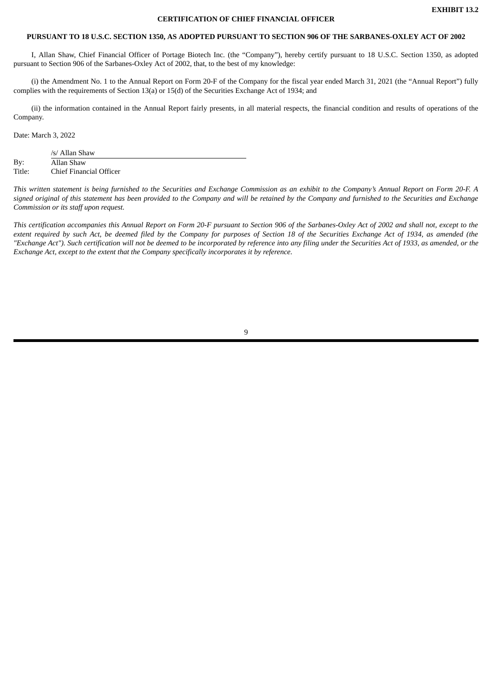#### **CERTIFICATION OF CHIEF FINANCIAL OFFICER**

### <span id="page-53-0"></span>PURSUANT TO 18 U.S.C. SECTION 1350, AS ADOPTED PURSUANT TO SECTION 906 OF THE SARBANES-OXLEY ACT OF 2002

I, Allan Shaw, Chief Financial Officer of Portage Biotech Inc. (the "Company"), hereby certify pursuant to 18 U.S.C. Section 1350, as adopted pursuant to Section 906 of the Sarbanes-Oxley Act of 2002, that, to the best of my knowledge:

(i) the Amendment No. 1 to the Annual Report on Form 20-F of the Company for the fiscal year ended March 31, 2021 (the "Annual Report") fully complies with the requirements of Section 13(a) or 15(d) of the Securities Exchange Act of 1934; and

(ii) the information contained in the Annual Report fairly presents, in all material respects, the financial condition and results of operations of the Company.

Date: March 3, 2022

|        | /s/ Allan Shaw          |
|--------|-------------------------|
| By:    | Allan Shaw              |
| Title: | Chief Financial Officer |

This written statement is being furnished to the Securities and Exchange Commission as an exhibit to the Company's Annual Report on Form 20-F. A signed original of this statement has been provided to the Company and will be retained by the Company and furnished to the Securities and Exchange *Commission or its staff upon request.*

This certification accompanies this Annual Report on Form 20-F pursuant to Section 906 of the Sarbanes-Oxley Act of 2002 and shall not, except to the extent required by such Act, be deemed filed by the Company for purposes of Section 18 of the Securities Exchange Act of 1934, as amended (the "Exchange Act"). Such certification will not be deemed to be incorporated by reference into any filing under the Securities Act of 1933, as amended, or the *Exchange Act, except to the extent that the Company specifically incorporates it by reference.*